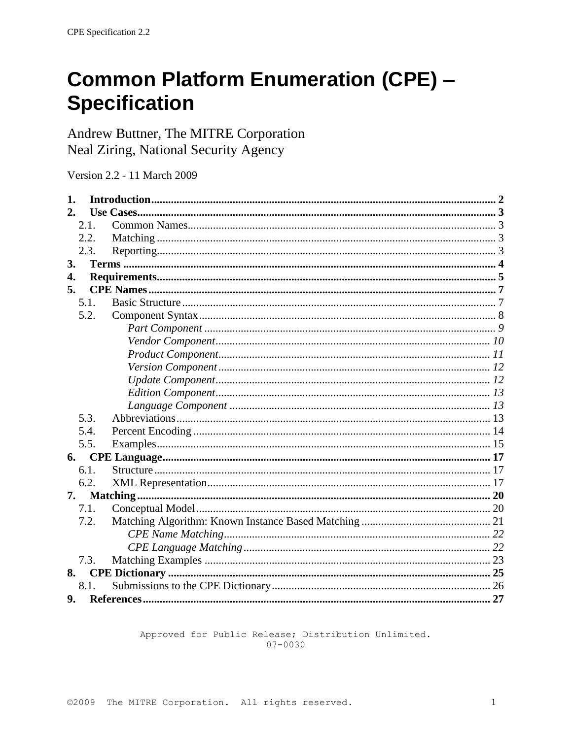# **Common Platform Enumeration (CPE) -Specification**

Andrew Buttner, The MITRE Corporation Neal Ziring, National Security Agency

Version 2.2 - 11 March 2009

| 1. |      |  |
|----|------|--|
|    |      |  |
|    | 2.1. |  |
|    | 2.2. |  |
|    | 2.3. |  |
| 3. |      |  |
| 4. |      |  |
| 5. |      |  |
|    | 5.1. |  |
|    | 5.2. |  |
|    |      |  |
|    |      |  |
|    |      |  |
|    |      |  |
|    |      |  |
|    |      |  |
|    |      |  |
|    | 5.3. |  |
|    | 5.4. |  |
|    | 5.5. |  |
| 6. |      |  |
|    | 6.1. |  |
|    | 6.2. |  |
| 7. |      |  |
|    | 7.1. |  |
|    | 7.2. |  |
|    |      |  |
|    |      |  |
|    | 7.3. |  |
| 8. |      |  |
|    | 8.1. |  |
| 9. |      |  |

Approved for Public Release; Distribution Unlimited.  $07 - 0030$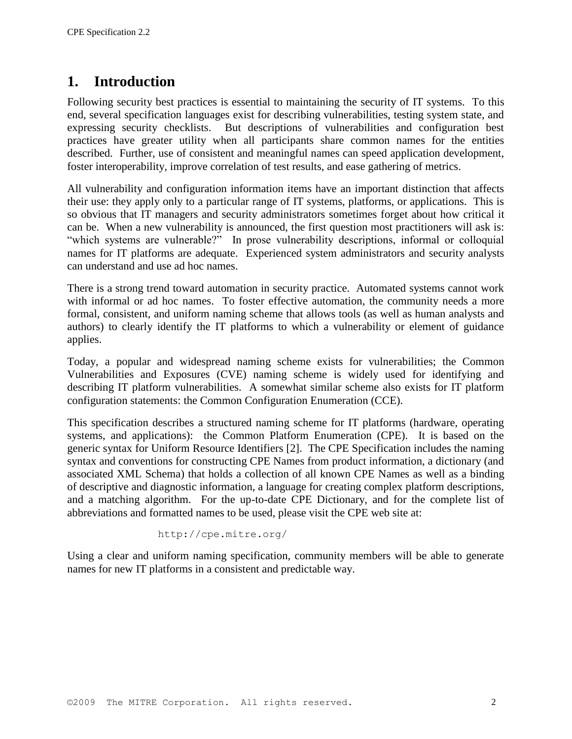# **1. Introduction**

Following security best practices is essential to maintaining the security of IT systems. To this end, several specification languages exist for describing vulnerabilities, testing system state, and expressing security checklists. But descriptions of vulnerabilities and configuration best practices have greater utility when all participants share common names for the entities described. Further, use of consistent and meaningful names can speed application development, foster interoperability, improve correlation of test results, and ease gathering of metrics.

All vulnerability and configuration information items have an important distinction that affects their use: they apply only to a particular range of IT systems, platforms, or applications. This is so obvious that IT managers and security administrators sometimes forget about how critical it can be. When a new vulnerability is announced, the first question most practitioners will ask is: "which systems are vulnerable?" In prose vulnerability descriptions, informal or colloquial names for IT platforms are adequate. Experienced system administrators and security analysts can understand and use ad hoc names.

There is a strong trend toward automation in security practice. Automated systems cannot work with informal or ad hoc names. To foster effective automation, the community needs a more formal, consistent, and uniform naming scheme that allows tools (as well as human analysts and authors) to clearly identify the IT platforms to which a vulnerability or element of guidance applies.

Today, a popular and widespread naming scheme exists for vulnerabilities; the Common Vulnerabilities and Exposures (CVE) naming scheme is widely used for identifying and describing IT platform vulnerabilities. A somewhat similar scheme also exists for IT platform configuration statements: the Common Configuration Enumeration (CCE).

This specification describes a structured naming scheme for IT platforms (hardware, operating systems, and applications): the Common Platform Enumeration (CPE). It is based on the generic syntax for Uniform Resource Identifiers [\[2\].](#page-26-0) The CPE Specification includes the naming syntax and conventions for constructing CPE Names from product information, a dictionary (and associated XML Schema) that holds a collection of all known CPE Names as well as a binding of descriptive and diagnostic information, a language for creating complex platform descriptions, and a matching algorithm. For the up-to-date CPE Dictionary, and for the complete list of abbreviations and formatted names to be used, please visit the CPE web site at:

```
http://cpe.mitre.org/
```
Using a clear and uniform naming specification, community members will be able to generate names for new IT platforms in a consistent and predictable way.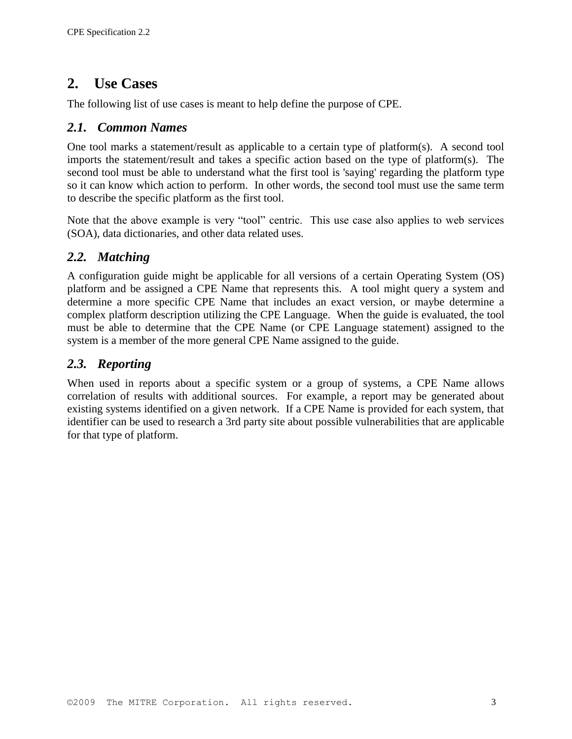# **2. Use Cases**

The following list of use cases is meant to help define the purpose of CPE.

### *2.1. Common Names*

One tool marks a statement/result as applicable to a certain type of platform(s). A second tool imports the statement/result and takes a specific action based on the type of platform(s). The second tool must be able to understand what the first tool is 'saying' regarding the platform type so it can know which action to perform. In other words, the second tool must use the same term to describe the specific platform as the first tool.

Note that the above example is very "tool" centric. This use case also applies to web services (SOA), data dictionaries, and other data related uses.

### *2.2. Matching*

A configuration guide might be applicable for all versions of a certain Operating System (OS) platform and be assigned a CPE Name that represents this. A tool might query a system and determine a more specific CPE Name that includes an exact version, or maybe determine a complex platform description utilizing the CPE Language. When the guide is evaluated, the tool must be able to determine that the CPE Name (or CPE Language statement) assigned to the system is a member of the more general CPE Name assigned to the guide.

### *2.3. Reporting*

When used in reports about a specific system or a group of systems, a CPE Name allows correlation of results with additional sources. For example, a report may be generated about existing systems identified on a given network. If a CPE Name is provided for each system, that identifier can be used to research a 3rd party site about possible vulnerabilities that are applicable for that type of platform.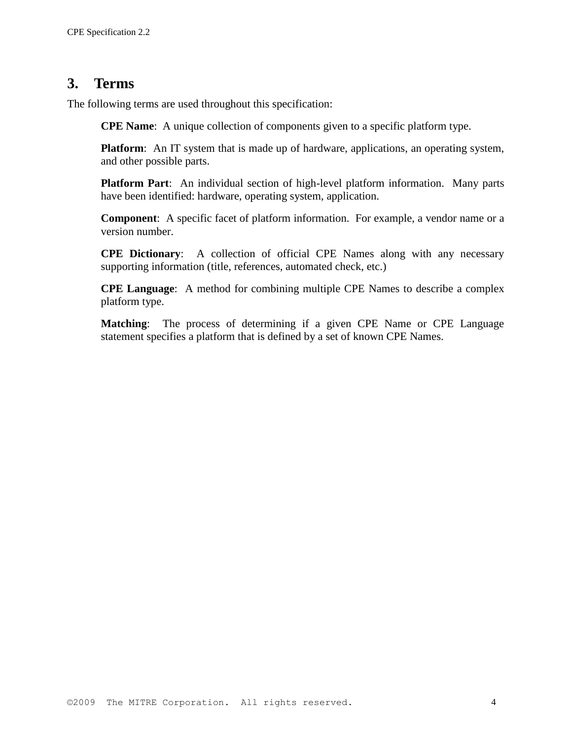## **3. Terms**

The following terms are used throughout this specification:

**CPE Name**: A unique collection of components given to a specific platform type.

**Platform**: An IT system that is made up of hardware, applications, an operating system, and other possible parts.

**Platform Part**: An individual section of high-level platform information. Many parts have been identified: hardware, operating system, application.

**Component**: A specific facet of platform information. For example, a vendor name or a version number.

**CPE Dictionary**: A collection of official CPE Names along with any necessary supporting information (title, references, automated check, etc.)

**CPE Language**: A method for combining multiple CPE Names to describe a complex platform type.

**Matching**: The process of determining if a given CPE Name or CPE Language statement specifies a platform that is defined by a set of known CPE Names.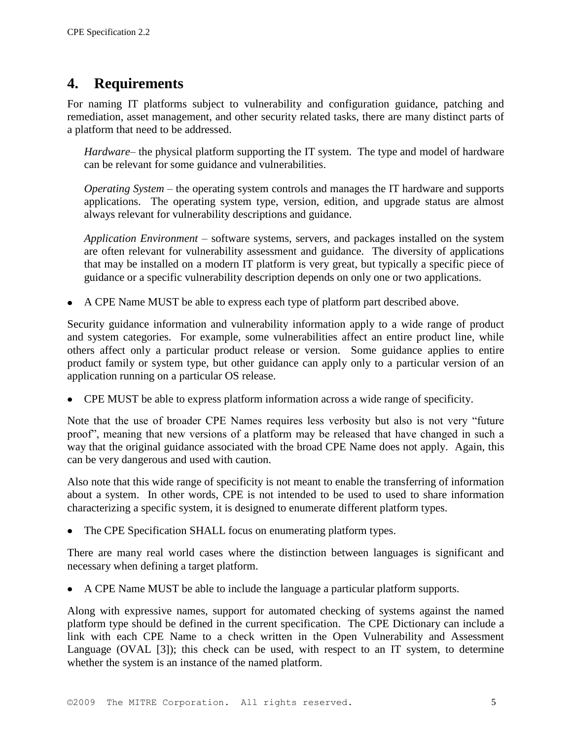# **4. Requirements**

For naming IT platforms subject to vulnerability and configuration guidance, patching and remediation, asset management, and other security related tasks, there are many distinct parts of a platform that need to be addressed.

*Hardware*– the physical platform supporting the IT system. The type and model of hardware can be relevant for some guidance and vulnerabilities.

*Operating System* – the operating system controls and manages the IT hardware and supports applications. The operating system type, version, edition, and upgrade status are almost always relevant for vulnerability descriptions and guidance.

*Application Environment* – software systems, servers, and packages installed on the system are often relevant for vulnerability assessment and guidance. The diversity of applications that may be installed on a modern IT platform is very great, but typically a specific piece of guidance or a specific vulnerability description depends on only one or two applications.

A CPE Name MUST be able to express each type of platform part described above.

Security guidance information and vulnerability information apply to a wide range of product and system categories. For example, some vulnerabilities affect an entire product line, while others affect only a particular product release or version. Some guidance applies to entire product family or system type, but other guidance can apply only to a particular version of an application running on a particular OS release.

CPE MUST be able to express platform information across a wide range of specificity.

Note that the use of broader CPE Names requires less verbosity but also is not very "future proof", meaning that new versions of a platform may be released that have changed in such a way that the original guidance associated with the broad CPE Name does not apply. Again, this can be very dangerous and used with caution.

Also note that this wide range of specificity is not meant to enable the transferring of information about a system. In other words, CPE is not intended to be used to used to share information characterizing a specific system, it is designed to enumerate different platform types.

The CPE Specification SHALL focus on enumerating platform types.

There are many real world cases where the distinction between languages is significant and necessary when defining a target platform.

A CPE Name MUST be able to include the language a particular platform supports.

Along with expressive names, support for automated checking of systems against the named platform type should be defined in the current specification. The CPE Dictionary can include a link with each CPE Name to a check written in the Open Vulnerability and Assessment Language (OVAL [\[3\]\)](#page-26-1); this check can be used, with respect to an IT system, to determine whether the system is an instance of the named platform.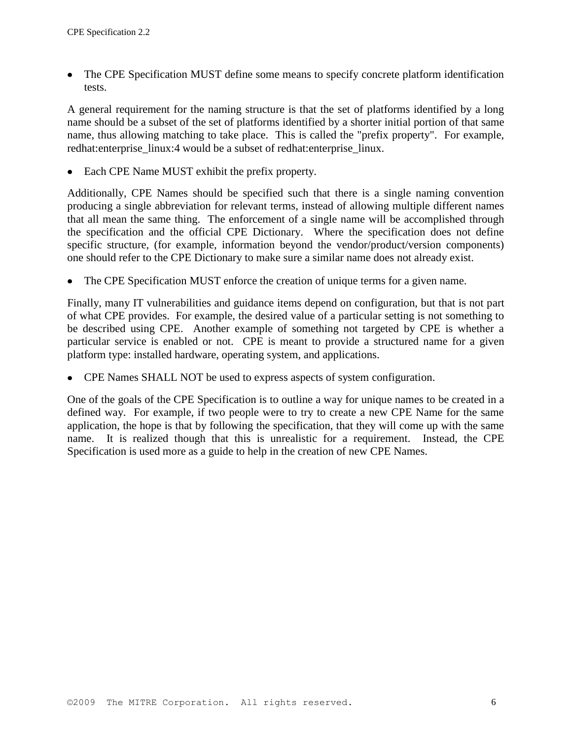The CPE Specification MUST define some means to specify concrete platform identification tests.

A general requirement for the naming structure is that the set of platforms identified by a long name should be a subset of the set of platforms identified by a shorter initial portion of that same name, thus allowing matching to take place. This is called the "prefix property". For example, redhat: enterprise linux: 4 would be a subset of redhat: enterprise linux.

• Each CPE Name MUST exhibit the prefix property.

Additionally, CPE Names should be specified such that there is a single naming convention producing a single abbreviation for relevant terms, instead of allowing multiple different names that all mean the same thing. The enforcement of a single name will be accomplished through the specification and the official CPE Dictionary. Where the specification does not define specific structure, (for example, information beyond the vendor/product/version components) one should refer to the CPE Dictionary to make sure a similar name does not already exist.

The CPE Specification MUST enforce the creation of unique terms for a given name.

Finally, many IT vulnerabilities and guidance items depend on configuration, but that is not part of what CPE provides. For example, the desired value of a particular setting is not something to be described using CPE. Another example of something not targeted by CPE is whether a particular service is enabled or not. CPE is meant to provide a structured name for a given platform type: installed hardware, operating system, and applications.

CPE Names SHALL NOT be used to express aspects of system configuration.

One of the goals of the CPE Specification is to outline a way for unique names to be created in a defined way. For example, if two people were to try to create a new CPE Name for the same application, the hope is that by following the specification, that they will come up with the same name. It is realized though that this is unrealistic for a requirement. Instead, the CPE Specification is used more as a guide to help in the creation of new CPE Names.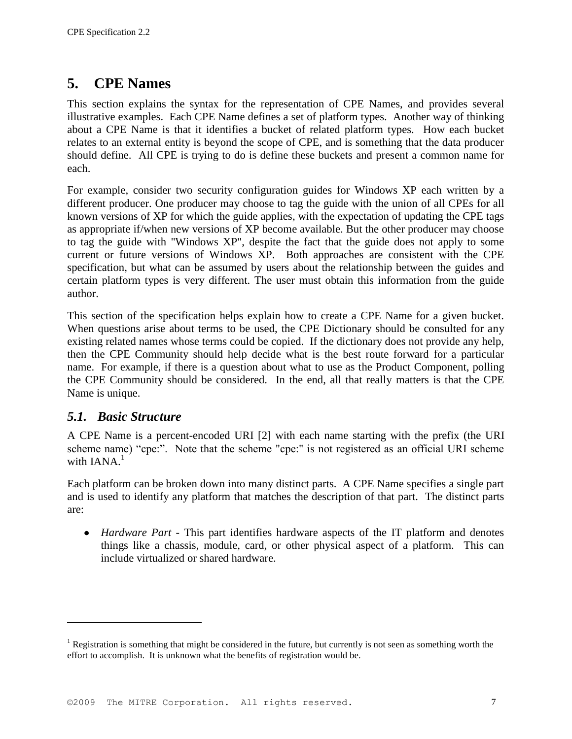# **5. CPE Names**

This section explains the syntax for the representation of CPE Names, and provides several illustrative examples. Each CPE Name defines a set of platform types. Another way of thinking about a CPE Name is that it identifies a bucket of related platform types. How each bucket relates to an external entity is beyond the scope of CPE, and is something that the data producer should define. All CPE is trying to do is define these buckets and present a common name for each.

For example, consider two security configuration guides for Windows XP each written by a different producer. One producer may choose to tag the guide with the union of all CPEs for all known versions of XP for which the guide applies, with the expectation of updating the CPE tags as appropriate if/when new versions of XP become available. But the other producer may choose to tag the guide with "Windows XP", despite the fact that the guide does not apply to some current or future versions of Windows XP. Both approaches are consistent with the CPE specification, but what can be assumed by users about the relationship between the guides and certain platform types is very different. The user must obtain this information from the guide author.

This section of the specification helps explain how to create a CPE Name for a given bucket. When questions arise about terms to be used, the CPE Dictionary should be consulted for any existing related names whose terms could be copied. If the dictionary does not provide any help, then the CPE Community should help decide what is the best route forward for a particular name. For example, if there is a question about what to use as the Product Component, polling the CPE Community should be considered. In the end, all that really matters is that the CPE Name is unique.

### *5.1. Basic Structure*

 $\overline{a}$ 

A CPE Name is a percent-encoded URI [\[2\]](#page-26-0) with each name starting with the prefix (the URI scheme name) "cpe:". Note that the scheme "cpe:" is not registered as an official URI scheme with  $IANA<sup>1</sup>$ 

Each platform can be broken down into many distinct parts. A CPE Name specifies a single part and is used to identify any platform that matches the description of that part. The distinct parts are:

*Hardware Part* - This part identifies hardware aspects of the IT platform and denotes things like a chassis, module, card, or other physical aspect of a platform. This can include virtualized or shared hardware.

<sup>&</sup>lt;sup>1</sup> Registration is something that might be considered in the future, but currently is not seen as something worth the effort to accomplish. It is unknown what the benefits of registration would be.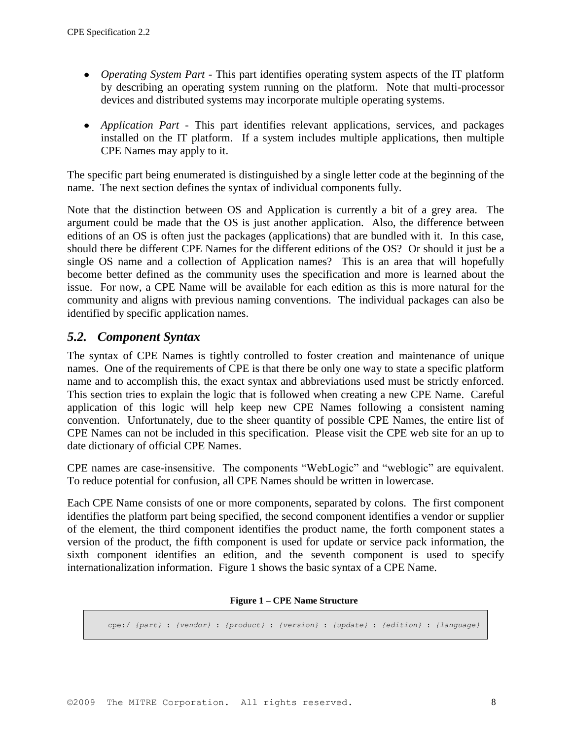- *Operating System Part* This part identifies operating system aspects of the IT platform by describing an operating system running on the platform. Note that multi-processor devices and distributed systems may incorporate multiple operating systems.
- *Application Part* This part identifies relevant applications, services, and packages installed on the IT platform. If a system includes multiple applications, then multiple CPE Names may apply to it.

The specific part being enumerated is distinguished by a single letter code at the beginning of the name. The next section defines the syntax of individual components fully.

Note that the distinction between OS and Application is currently a bit of a grey area. The argument could be made that the OS is just another application. Also, the difference between editions of an OS is often just the packages (applications) that are bundled with it. In this case, should there be different CPE Names for the different editions of the OS? Or should it just be a single OS name and a collection of Application names? This is an area that will hopefully become better defined as the community uses the specification and more is learned about the issue. For now, a CPE Name will be available for each edition as this is more natural for the community and aligns with previous naming conventions. The individual packages can also be identified by specific application names.

### *5.2. Component Syntax*

The syntax of CPE Names is tightly controlled to foster creation and maintenance of unique names. One of the requirements of CPE is that there be only one way to state a specific platform name and to accomplish this, the exact syntax and abbreviations used must be strictly enforced. This section tries to explain the logic that is followed when creating a new CPE Name. Careful application of this logic will help keep new CPE Names following a consistent naming convention. Unfortunately, due to the sheer quantity of possible CPE Names, the entire list of CPE Names can not be included in this specification. Please visit the CPE web site for an up to date dictionary of official CPE Names.

CPE names are case-insensitive. The components "WebLogic" and "weblogic" are equivalent. To reduce potential for confusion, all CPE Names should be written in lowercase.

Each CPE Name consists of one or more components, separated by colons. The first component identifies the platform part being specified, the second component identifies a vendor or supplier of the element, the third component identifies the product name, the forth component states a version of the product, the fifth component is used for update or service pack information, the sixth component identifies an edition, and the seventh component is used to specify internationalization information. Figure 1 shows the basic syntax of a CPE Name.

#### **Figure 1 – CPE Name Structure**

cpe:/ *{part}* : *{vendor}* : *{product}* : *{version}* : *{update}* : *{edition}* : *{language}*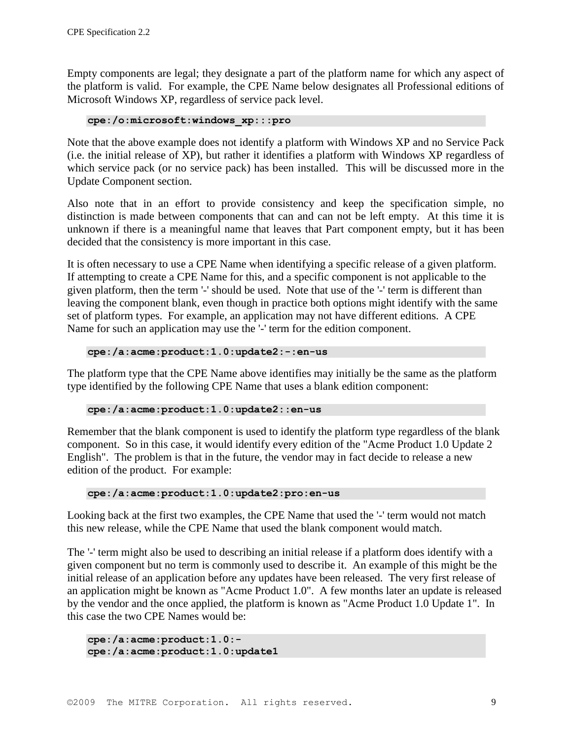Empty components are legal; they designate a part of the platform name for which any aspect of the platform is valid. For example, the CPE Name below designates all Professional editions of Microsoft Windows XP, regardless of service pack level.

**cpe:/o:microsoft:windows\_xp:::pro**

Note that the above example does not identify a platform with Windows XP and no Service Pack (i.e. the initial release of XP), but rather it identifies a platform with Windows XP regardless of which service pack (or no service pack) has been installed. This will be discussed more in the Update Component section.

Also note that in an effort to provide consistency and keep the specification simple, no distinction is made between components that can and can not be left empty. At this time it is unknown if there is a meaningful name that leaves that Part component empty, but it has been decided that the consistency is more important in this case.

It is often necessary to use a CPE Name when identifying a specific release of a given platform. If attempting to create a CPE Name for this, and a specific component is not applicable to the given platform, then the term '-' should be used. Note that use of the '-' term is different than leaving the component blank, even though in practice both options might identify with the same set of platform types. For example, an application may not have different editions. A CPE Name for such an application may use the '-' term for the edition component.

#### **cpe:/a:acme:product:1.0:update2:-:en-us**

The platform type that the CPE Name above identifies may initially be the same as the platform type identified by the following CPE Name that uses a blank edition component:

#### **cpe:/a:acme:product:1.0:update2::en-us**

Remember that the blank component is used to identify the platform type regardless of the blank component. So in this case, it would identify every edition of the "Acme Product 1.0 Update 2 English". The problem is that in the future, the vendor may in fact decide to release a new edition of the product. For example:

#### **cpe:/a:acme:product:1.0:update2:pro:en-us**

Looking back at the first two examples, the CPE Name that used the '-' term would not match this new release, while the CPE Name that used the blank component would match.

The '-' term might also be used to describing an initial release if a platform does identify with a given component but no term is commonly used to describe it. An example of this might be the initial release of an application before any updates have been released. The very first release of an application might be known as "Acme Product 1.0". A few months later an update is released by the vendor and the once applied, the platform is known as "Acme Product 1.0 Update 1". In this case the two CPE Names would be:

```
cpe:/a:acme:product:1.0:-
cpe:/a:acme:product:1.0:update1
```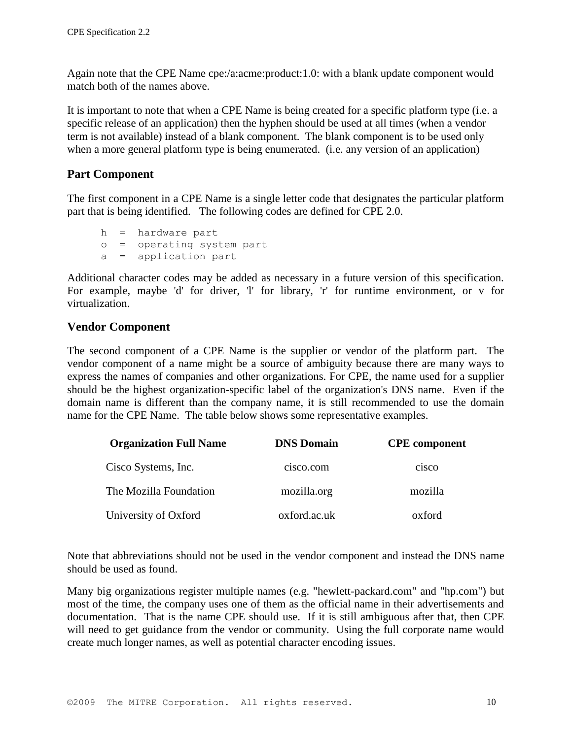Again note that the CPE Name cpe:/a:acme:product:1.0: with a blank update component would match both of the names above.

It is important to note that when a CPE Name is being created for a specific platform type (i.e. a specific release of an application) then the hyphen should be used at all times (when a vendor term is not available) instead of a blank component. The blank component is to be used only when a more general platform type is being enumerated. (i.e. any version of an application)

### **Part Component**

The first component in a CPE Name is a single letter code that designates the particular platform part that is being identified. The following codes are defined for CPE 2.0.

h = hardware part o = operating system part a = application part

Additional character codes may be added as necessary in a future version of this specification. For example, maybe 'd' for driver, 'l' for library, 'r' for runtime environment, or v for virtualization.

### **Vendor Component**

The second component of a CPE Name is the supplier or vendor of the platform part. The vendor component of a name might be a source of ambiguity because there are many ways to express the names of companies and other organizations. For CPE, the name used for a supplier should be the highest organization-specific label of the organization's DNS name. Even if the domain name is different than the company name, it is still recommended to use the domain name for the CPE Name. The table below shows some representative examples.

| <b>Organization Full Name</b> | <b>DNS Domain</b> | <b>CPE</b> component |
|-------------------------------|-------------------|----------------------|
| Cisco Systems, Inc.           | cisco.com         | cisco                |
| The Mozilla Foundation        | mozilla.org       | mozilla              |
| University of Oxford          | oxford.ac.uk      | oxford               |

Note that abbreviations should not be used in the vendor component and instead the DNS name should be used as found.

Many big organizations register multiple names (e.g. "hewlett-packard.com" and "hp.com") but most of the time, the company uses one of them as the official name in their advertisements and documentation. That is the name CPE should use. If it is still ambiguous after that, then CPE will need to get guidance from the vendor or community. Using the full corporate name would create much longer names, as well as potential character encoding issues.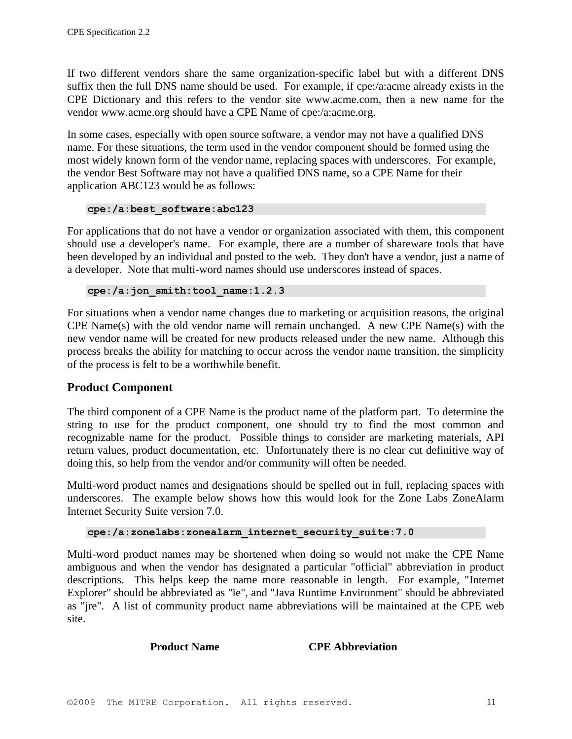If two different vendors share the same organization-specific label but with a different DNS suffix then the full DNS name should be used. For example, if cpe:/a:acme already exists in the CPE Dictionary and this refers to the vendor site www.acme.com, then a new name for the vendor www.acme.org should have a CPE Name of cpe:/a:acme.org.

In some cases, especially with open source software, a vendor may not have a qualified DNS name. For these situations, the term used in the vendor component should be formed using the most widely known form of the vendor name, replacing spaces with underscores. For example, the vendor Best Software may not have a qualified DNS name, so a CPE Name for their application ABC123 would be as follows:

```
cpe:/a:best_software:abc123
```
For applications that do not have a vendor or organization associated with them, this component should use a developer's name. For example, there are a number of shareware tools that have been developed by an individual and posted to the web. They don't have a vendor, just a name of a developer. Note that multi-word names should use underscores instead of spaces.

```
cpe:/a:jon_smith:tool_name:1.2.3
```
For situations when a vendor name changes due to marketing or acquisition reasons, the original CPE Name(s) with the old vendor name will remain unchanged. A new CPE Name(s) with the new vendor name will be created for new products released under the new name. Although this process breaks the ability for matching to occur across the vendor name transition, the simplicity of the process is felt to be a worthwhile benefit.

### **Product Component**

The third component of a CPE Name is the product name of the platform part. To determine the string to use for the product component, one should try to find the most common and recognizable name for the product. Possible things to consider are marketing materials, API return values, product documentation, etc. Unfortunately there is no clear cut definitive way of doing this, so help from the vendor and/or community will often be needed.

Multi-word product names and designations should be spelled out in full, replacing spaces with underscores. The example below shows how this would look for the Zone Labs ZoneAlarm Internet Security Suite version 7.0.

```
cpe:/a:zonelabs:zonealarm_internet_security_suite:7.0
```
Multi-word product names may be shortened when doing so would not make the CPE Name ambiguous and when the vendor has designated a particular "official" abbreviation in product descriptions. This helps keep the name more reasonable in length. For example, "Internet Explorer" should be abbreviated as "ie", and "Java Runtime Environment" should be abbreviated as "jre". A list of community product name abbreviations will be maintained at the CPE web site.

**Product Name CPE Abbreviation**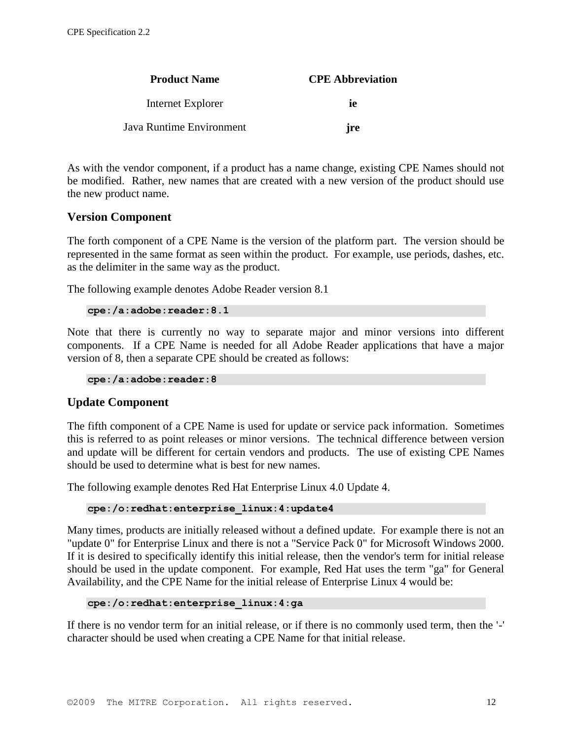| <b>Product Name</b>      | <b>CPE Abbreviation</b> |  |
|--------------------------|-------------------------|--|
| Internet Explorer        | iе                      |  |
| Java Runtime Environment | ire                     |  |

As with the vendor component, if a product has a name change, existing CPE Names should not be modified. Rather, new names that are created with a new version of the product should use the new product name.

#### **Version Component**

The forth component of a CPE Name is the version of the platform part. The version should be represented in the same format as seen within the product. For example, use periods, dashes, etc. as the delimiter in the same way as the product.

The following example denotes Adobe Reader version 8.1

```
cpe:/a:adobe:reader:8.1
```
Note that there is currently no way to separate major and minor versions into different components. If a CPE Name is needed for all Adobe Reader applications that have a major version of 8, then a separate CPE should be created as follows:

**cpe:/a:adobe:reader:8**

#### **Update Component**

The fifth component of a CPE Name is used for update or service pack information. Sometimes this is referred to as point releases or minor versions. The technical difference between version and update will be different for certain vendors and products. The use of existing CPE Names should be used to determine what is best for new names.

The following example denotes Red Hat Enterprise Linux 4.0 Update 4.

```
cpe:/o:redhat:enterprise_linux:4:update4
```
Many times, products are initially released without a defined update. For example there is not an "update 0" for Enterprise Linux and there is not a "Service Pack 0" for Microsoft Windows 2000. If it is desired to specifically identify this initial release, then the vendor's term for initial release should be used in the update component. For example, Red Hat uses the term "ga" for General Availability, and the CPE Name for the initial release of Enterprise Linux 4 would be:

```
cpe:/o:redhat:enterprise_linux:4:ga
```
If there is no vendor term for an initial release, or if there is no commonly used term, then the '-' character should be used when creating a CPE Name for that initial release.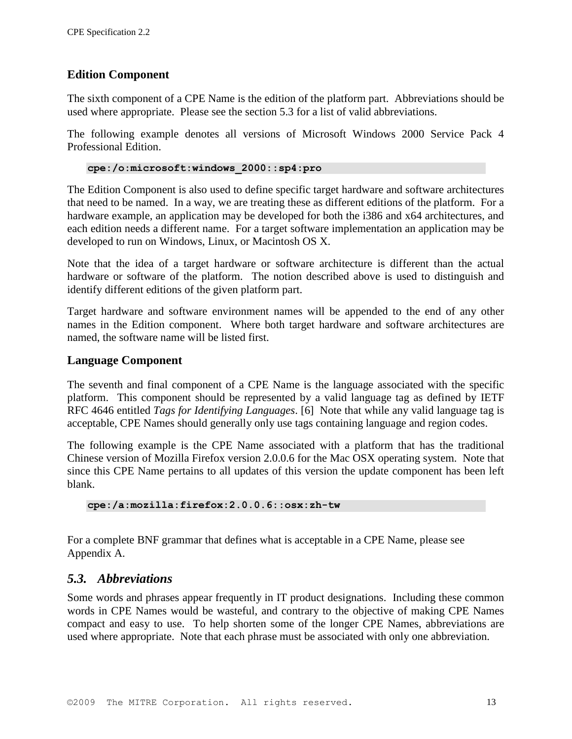### **Edition Component**

The sixth component of a CPE Name is the edition of the platform part. Abbreviations should be used where appropriate. Please see the section 5.3 for a list of valid abbreviations.

The following example denotes all versions of Microsoft Windows 2000 Service Pack 4 Professional Edition.

#### **cpe:/o:microsoft:windows\_2000::sp4:pro**

The Edition Component is also used to define specific target hardware and software architectures that need to be named. In a way, we are treating these as different editions of the platform. For a hardware example, an application may be developed for both the i386 and x64 architectures, and each edition needs a different name. For a target software implementation an application may be developed to run on Windows, Linux, or Macintosh OS X.

Note that the idea of a target hardware or software architecture is different than the actual hardware or software of the platform. The notion described above is used to distinguish and identify different editions of the given platform part.

Target hardware and software environment names will be appended to the end of any other names in the Edition component. Where both target hardware and software architectures are named, the software name will be listed first.

#### **Language Component**

The seventh and final component of a CPE Name is the language associated with the specific platform. This component should be represented by a valid language tag as defined by IETF RFC 4646 entitled *Tags for Identifying Languages*. [6] Note that while any valid language tag is acceptable, CPE Names should generally only use tags containing language and region codes.

The following example is the CPE Name associated with a platform that has the traditional Chinese version of Mozilla Firefox version 2.0.0.6 for the Mac OSX operating system. Note that since this CPE Name pertains to all updates of this version the update component has been left blank.

**cpe:/a:mozilla:firefox:2.0.0.6::osx:zh-tw**

For a complete BNF grammar that defines what is acceptable in a CPE Name, please see Appendix A.

### *5.3. Abbreviations*

Some words and phrases appear frequently in IT product designations. Including these common words in CPE Names would be wasteful, and contrary to the objective of making CPE Names compact and easy to use. To help shorten some of the longer CPE Names, abbreviations are used where appropriate. Note that each phrase must be associated with only one abbreviation.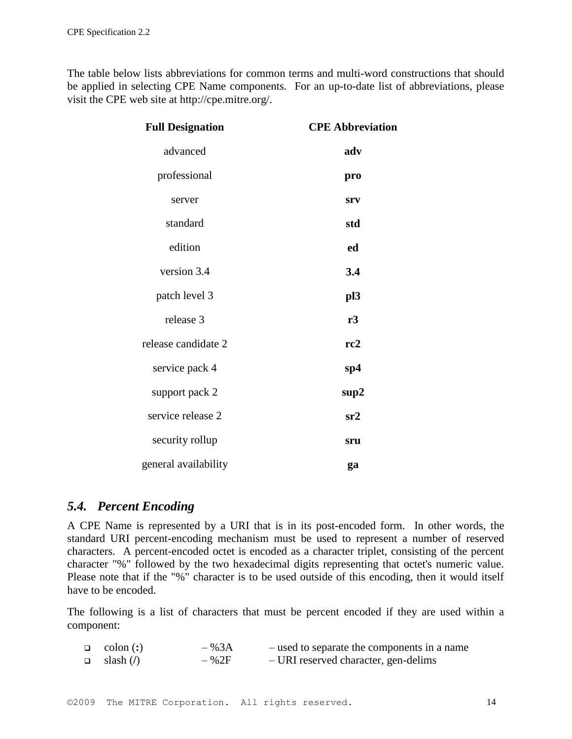The table below lists abbreviations for common terms and multi-word constructions that should be applied in selecting CPE Name components. For an up-to-date list of abbreviations, please visit the CPE web site at http://cpe.mitre.org/.

| <b>Full Designation</b> | <b>CPE Abbreviation</b> |  |
|-------------------------|-------------------------|--|
| advanced                | adv                     |  |
| professional            | pro                     |  |
| server                  | srv                     |  |
| standard                | std                     |  |
| edition                 | ed                      |  |
| version 3.4             | 3.4                     |  |
| patch level 3           | pl3                     |  |
| release 3               | r3                      |  |
| release candidate 2     | rc2                     |  |
| service pack 4          | sp4                     |  |
| support pack 2          | sup2                    |  |
| service release 2       | sr2                     |  |
| security rollup         | sru                     |  |
| general availability    | ga                      |  |

### *5.4. Percent Encoding*

A CPE Name is represented by a URI that is in its post-encoded form. In other words, the standard URI percent-encoding mechanism must be used to represent a number of reserved characters. A percent-encoded octet is encoded as a character triplet, consisting of the percent character "%" followed by the two hexadecimal digits representing that octet's numeric value. Please note that if the "%" character is to be used outside of this encoding, then it would itself have to be encoded.

The following is a list of characters that must be percent encoded if they are used within a component:

| $\Box$ colon (:) | $-$ % 3A | - used to separate the components in a name |
|------------------|----------|---------------------------------------------|
| $\Box$ slash (/) | $-$ %2F  | - URI reserved character, gen-delims        |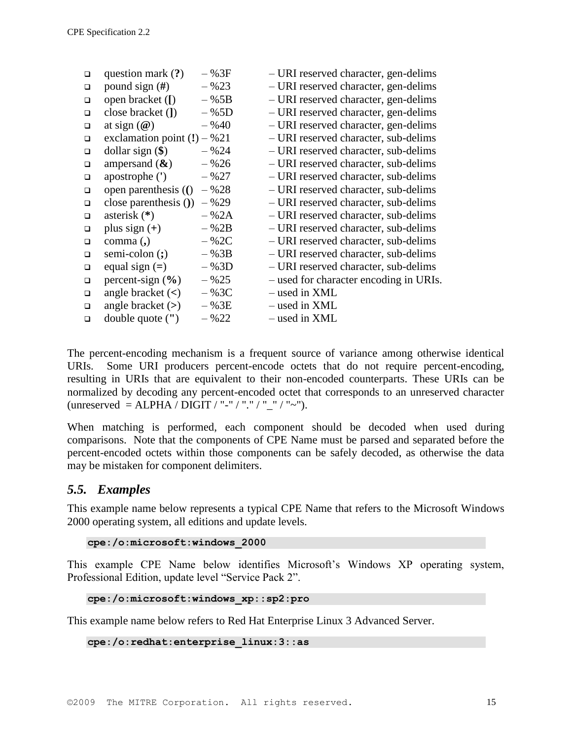| $\Box$ | question mark $(?)$           | $-$ % 3F | - URI reserved character, gen-delims   |
|--------|-------------------------------|----------|----------------------------------------|
| $\Box$ | pound sign $(H)$              | $-$ %23  | - URI reserved character, gen-delims   |
| □      | open bracket ([)              | $-$ %5B  | - URI reserved character, gen-delims   |
| $\Box$ | close bracket (])             | $-$ %5D  | - URI reserved character, gen-delims   |
| $\Box$ | at sign $(\mathcal{Q})$       | $-$ %40  | - URI reserved character, gen-delims   |
| $\Box$ | exclamation point $(!) - %21$ |          | - URI reserved character, sub-delims   |
| $\Box$ | dollar sign $(\$)$            | $-$ % 24 | - URI reserved character, sub-delims   |
| $\Box$ | ampersand $(\&)$              | $-$ %26  | - URI reserved character, sub-delims   |
| $\Box$ | apostrophe (')                | $-$ %27  | - URI reserved character, sub-delims   |
| $\Box$ | open parenthesis (()          | $-$ %28  | - URI reserved character, sub-delims   |
| $\Box$ | close parenthesis $()$        | $-$ %29  | - URI reserved character, sub-delims   |
| $\Box$ | asterisk $(*)$                | $-$ %2A  | - URI reserved character, sub-delims   |
| $\Box$ | plus sign $(+)$               | $-$ % 2B | - URI reserved character, sub-delims   |
| $\Box$ | $comma$ (,)                   | $-$ %2C  | - URI reserved character, sub-delims   |
| $\Box$ | semi-colon $($ ; $)$          | $-$ % 3B | - URI reserved character, sub-delims   |
| $\Box$ | equal sign $(=)$              | $-$ % 3D | - URI reserved character, sub-delims   |
| $\Box$ | percent-sign $(\% )$          | $-$ %25  | - used for character encoding in URIs. |
| $\Box$ | angle bracket $(<)$           | $-$ %3C  | - used in XML                          |
| $\Box$ | angle bracket $(>)$           | $-$ %3E  | - used in XML                          |
| $\Box$ | double quote (")              | $-$ %22  | - used in XML                          |
|        |                               |          |                                        |

The percent-encoding mechanism is a frequent source of variance among otherwise identical URIs. Some URI producers percent-encode octets that do not require percent-encoding, resulting in URIs that are equivalent to their non-encoded counterparts. These URIs can be normalized by decoding any percent-encoded octet that corresponds to an unreserved character (unreserved  $=$  ALPHA  $\overline{\phantom{a}}$  DIGIT  $\overline{\phantom{a}}$   $\overline{\phantom{a}}$   $\overline{\phantom{a}}$   $\overline{\phantom{a}}$   $\overline{\phantom{a}}$   $\overline{\phantom{a}}$   $\overline{\phantom{a}}$   $\overline{\phantom{a}}$   $\overline{\phantom{a}}$   $\overline{\phantom{a}}$   $\overline{\phantom{a}}$   $\overline{\phantom{a}}$   $\overline{\phantom{a}}$   $\overline{\phantom{a}}$   $\overline{\phantom{a}}$ 

When matching is performed, each component should be decoded when used during comparisons. Note that the components of CPE Name must be parsed and separated before the percent-encoded octets within those components can be safely decoded, as otherwise the data may be mistaken for component delimiters.

### *5.5. Examples*

This example name below represents a typical CPE Name that refers to the Microsoft Windows 2000 operating system, all editions and update levels.

**cpe:/o:microsoft:windows\_2000**

This example CPE Name below identifies Microsoft's Windows XP operating system, Professional Edition, update level "Service Pack 2".

```
cpe:/o:microsoft:windows_xp::sp2:pro
```
This example name below refers to Red Hat Enterprise Linux 3 Advanced Server.

```
cpe:/o:redhat:enterprise_linux:3::as
```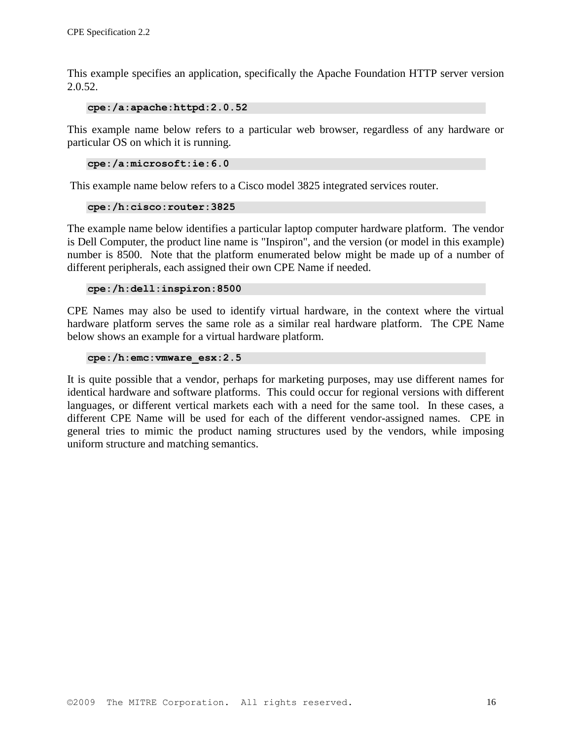This example specifies an application, specifically the Apache Foundation HTTP server version 2.0.52.

**cpe:/a:apache:httpd:2.0.52**

This example name below refers to a particular web browser, regardless of any hardware or particular OS on which it is running.

**cpe:/a:microsoft:ie:6.0**

This example name below refers to a Cisco model 3825 integrated services router.

```
cpe:/h:cisco:router:3825
```
The example name below identifies a particular laptop computer hardware platform. The vendor is Dell Computer, the product line name is "Inspiron", and the version (or model in this example) number is 8500. Note that the platform enumerated below might be made up of a number of different peripherals, each assigned their own CPE Name if needed.

#### **cpe:/h:dell:inspiron:8500**

CPE Names may also be used to identify virtual hardware, in the context where the virtual hardware platform serves the same role as a similar real hardware platform. The CPE Name below shows an example for a virtual hardware platform.

#### **cpe:/h:emc:vmware\_esx:2.5**

It is quite possible that a vendor, perhaps for marketing purposes, may use different names for identical hardware and software platforms. This could occur for regional versions with different languages, or different vertical markets each with a need for the same tool. In these cases, a different CPE Name will be used for each of the different vendor-assigned names. CPE in general tries to mimic the product naming structures used by the vendors, while imposing uniform structure and matching semantics.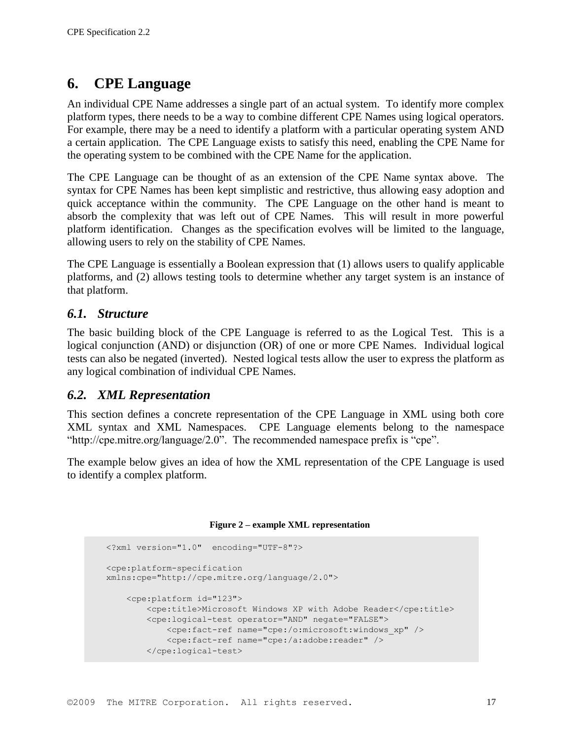# **6. CPE Language**

An individual CPE Name addresses a single part of an actual system. To identify more complex platform types, there needs to be a way to combine different CPE Names using logical operators. For example, there may be a need to identify a platform with a particular operating system AND a certain application. The CPE Language exists to satisfy this need, enabling the CPE Name for the operating system to be combined with the CPE Name for the application.

The CPE Language can be thought of as an extension of the CPE Name syntax above. The syntax for CPE Names has been kept simplistic and restrictive, thus allowing easy adoption and quick acceptance within the community. The CPE Language on the other hand is meant to absorb the complexity that was left out of CPE Names. This will result in more powerful platform identification. Changes as the specification evolves will be limited to the language, allowing users to rely on the stability of CPE Names.

The CPE Language is essentially a Boolean expression that (1) allows users to qualify applicable platforms, and (2) allows testing tools to determine whether any target system is an instance of that platform.

### *6.1. Structure*

The basic building block of the CPE Language is referred to as the Logical Test. This is a logical conjunction (AND) or disjunction (OR) of one or more CPE Names. Individual logical tests can also be negated (inverted). Nested logical tests allow the user to express the platform as any logical combination of individual CPE Names.

### *6.2. XML Representation*

This section defines a concrete representation of the CPE Language in XML using both core XML syntax and XML Namespaces. CPE Language elements belong to the namespace "http://cpe.mitre.org/language/2.0". The recommended namespace prefix is "cpe".

The example below gives an idea of how the XML representation of the CPE Language is used to identify a complex platform.

#### **Figure 2 – example XML representation**

```
<?xml version="1.0" encoding="UTF-8"?>
<cpe:platform-specification
xmlns:cpe="http://cpe.mitre.org/language/2.0">
     <cpe:platform id="123">
         <cpe:title>Microsoft Windows XP with Adobe Reader</cpe:title>
         <cpe:logical-test operator="AND" negate="FALSE">
             <cpe:fact-ref name="cpe:/o:microsoft:windows_xp" />
             <cpe:fact-ref name="cpe:/a:adobe:reader" />
         </cpe:logical-test>
```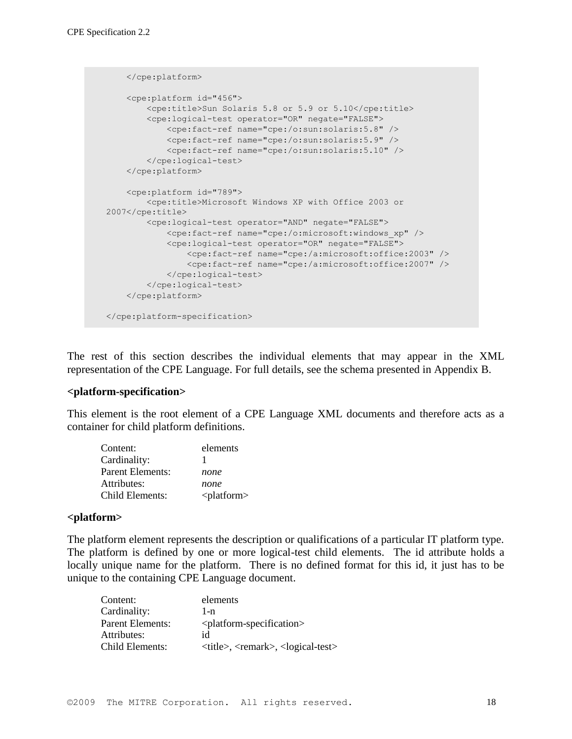```
 </cpe:platform>
     <cpe:platform id="456">
         <cpe:title>Sun Solaris 5.8 or 5.9 or 5.10</cpe:title>
         <cpe:logical-test operator="OR" negate="FALSE">
             <cpe:fact-ref name="cpe:/o:sun:solaris:5.8" />
             <cpe:fact-ref name="cpe:/o:sun:solaris:5.9" />
             <cpe:fact-ref name="cpe:/o:sun:solaris:5.10" />
         </cpe:logical-test>
     </cpe:platform>
     <cpe:platform id="789">
         <cpe:title>Microsoft Windows XP with Office 2003 or 
2007</cpe:title>
         <cpe:logical-test operator="AND" negate="FALSE">
             <cpe:fact-ref name="cpe:/o:microsoft:windows_xp" />
             <cpe:logical-test operator="OR" negate="FALSE">
                 <cpe:fact-ref name="cpe:/a:microsoft:office:2003" />
                 <cpe:fact-ref name="cpe:/a:microsoft:office:2007" />
             </cpe:logical-test>
         </cpe:logical-test>
     </cpe:platform>
</cpe:platform-specification>
```
The rest of this section describes the individual elements that may appear in the XML representation of the CPE Language. For full details, see the schema presented in Appendix B.

#### **<platform-specification>**

This element is the root element of a CPE Language XML documents and therefore acts as a container for child platform definitions.

| Content:         | elements              |
|------------------|-----------------------|
| Cardinality:     |                       |
| Parent Elements: | none                  |
| Attributes:      | none                  |
| Child Elements:  | <platform></platform> |

#### **<platform>**

The platform element represents the description or qualifications of a particular IT platform type. The platform is defined by one or more logical-test child elements. The id attribute holds a locally unique name for the platform. There is no defined format for this id, it just has to be unique to the containing CPE Language document.

| Content:         | elements                                                     |
|------------------|--------------------------------------------------------------|
| Cardinality:     | 1-n                                                          |
| Parent Elements: | <platform-specification></platform-specification>            |
| Attributes:      | id                                                           |
| Child Elements:  | $\langle$ title>, $\langle$ remark>, $\langle$ logical-test> |
|                  |                                                              |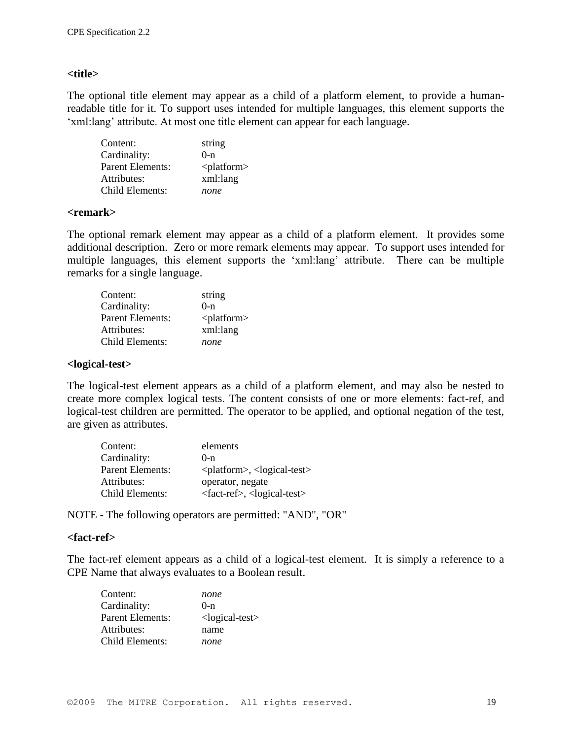#### **<title>**

The optional title element may appear as a child of a platform element, to provide a humanreadable title for it. To support uses intended for multiple languages, this element supports the 'xml:lang' attribute. At most one title element can appear for each language.

| Content:                | string             |
|-------------------------|--------------------|
| Cardinality:            | $0 - n$            |
| <b>Parent Elements:</b> | $\alpha$ -platform |
| Attributes:             | xml:lang           |
| Child Elements:         | none               |

#### **<remark>**

The optional remark element may appear as a child of a platform element. It provides some additional description. Zero or more remark elements may appear. To support uses intended for multiple languages, this element supports the "xml:lang" attribute. There can be multiple remarks for a single language.

| Content:                | string             |
|-------------------------|--------------------|
| Cardinality:            | $0-n$              |
| <b>Parent Elements:</b> | $\alpha$ -platform |
| Attributes:             | xml:lang           |
| Child Elements:         | none               |

#### **<logical-test>**

The logical-test element appears as a child of a platform element, and may also be nested to create more complex logical tests. The content consists of one or more elements: fact-ref, and logical-test children are permitted. The operator to be applied, and optional negation of the test, are given as attributes.

| Content:         | elements                                             |
|------------------|------------------------------------------------------|
| Cardinality:     | $()$ -n                                              |
| Parent Elements: | $\le$ platform>, $\le$ logical-test>                 |
| Attributes:      | operator, negate                                     |
| Child Elements:  | <fact-ref>, <logical-test></logical-test></fact-ref> |

NOTE - The following operators are permitted: "AND", "OR"

#### **<fact-ref>**

The fact-ref element appears as a child of a logical-test element. It is simply a reference to a CPE Name that always evaluates to a Boolean result.

| Content:                | none                 |
|-------------------------|----------------------|
| Cardinality:            | $0-n$                |
| <b>Parent Elements:</b> | $<$ logical-test $>$ |
| Attributes:             | name                 |
| Child Elements:         | none                 |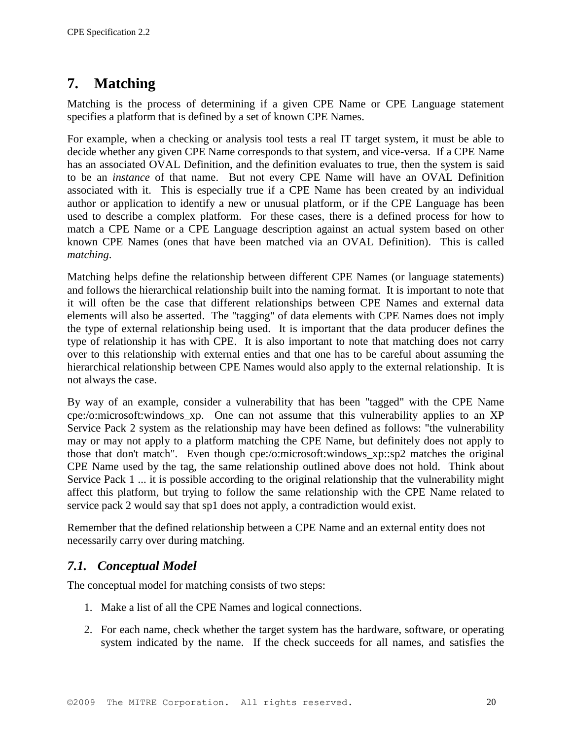# **7. Matching**

Matching is the process of determining if a given CPE Name or CPE Language statement specifies a platform that is defined by a set of known CPE Names.

For example, when a checking or analysis tool tests a real IT target system, it must be able to decide whether any given CPE Name corresponds to that system, and vice-versa. If a CPE Name has an associated OVAL Definition, and the definition evaluates to true, then the system is said to be an *instance* of that name. But not every CPE Name will have an OVAL Definition associated with it. This is especially true if a CPE Name has been created by an individual author or application to identify a new or unusual platform, or if the CPE Language has been used to describe a complex platform. For these cases, there is a defined process for how to match a CPE Name or a CPE Language description against an actual system based on other known CPE Names (ones that have been matched via an OVAL Definition). This is called *matching*.

Matching helps define the relationship between different CPE Names (or language statements) and follows the hierarchical relationship built into the naming format. It is important to note that it will often be the case that different relationships between CPE Names and external data elements will also be asserted. The "tagging" of data elements with CPE Names does not imply the type of external relationship being used. It is important that the data producer defines the type of relationship it has with CPE. It is also important to note that matching does not carry over to this relationship with external enties and that one has to be careful about assuming the hierarchical relationship between CPE Names would also apply to the external relationship. It is not always the case.

By way of an example, consider a vulnerability that has been "tagged" with the CPE Name cpe:/o:microsoft:windows\_xp. One can not assume that this vulnerability applies to an XP Service Pack 2 system as the relationship may have been defined as follows: "the vulnerability may or may not apply to a platform matching the CPE Name, but definitely does not apply to those that don't match". Even though cpe:/o:microsoft:windows\_xp::sp2 matches the original CPE Name used by the tag, the same relationship outlined above does not hold. Think about Service Pack 1 ... it is possible according to the original relationship that the vulnerability might affect this platform, but trying to follow the same relationship with the CPE Name related to service pack 2 would say that sp1 does not apply, a contradiction would exist.

Remember that the defined relationship between a CPE Name and an external entity does not necessarily carry over during matching.

### *7.1. Conceptual Model*

The conceptual model for matching consists of two steps:

- 1. Make a list of all the CPE Names and logical connections.
- 2. For each name, check whether the target system has the hardware, software, or operating system indicated by the name. If the check succeeds for all names, and satisfies the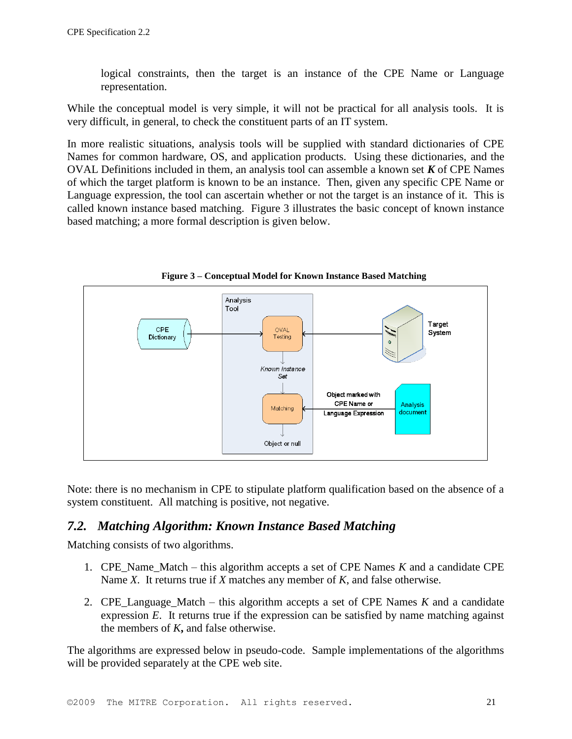logical constraints, then the target is an instance of the CPE Name or Language representation.

While the conceptual model is very simple, it will not be practical for all analysis tools. It is very difficult, in general, to check the constituent parts of an IT system.

In more realistic situations, analysis tools will be supplied with standard dictionaries of CPE Names for common hardware, OS, and application products. Using these dictionaries, and the OVAL Definitions included in them, an analysis tool can assemble a known set *K* of CPE Names of which the target platform is known to be an instance. Then, given any specific CPE Name or Language expression, the tool can ascertain whether or not the target is an instance of it. This is called known instance based matching. Figure 3 illustrates the basic concept of known instance based matching; a more formal description is given below.



**Figure 3 – Conceptual Model for Known Instance Based Matching**

Note: there is no mechanism in CPE to stipulate platform qualification based on the absence of a system constituent. All matching is positive, not negative.

### *7.2. Matching Algorithm: Known Instance Based Matching*

Matching consists of two algorithms.

- 1. CPE\_Name\_Match this algorithm accepts a set of CPE Names *K* and a candidate CPE Name *X*. It returns true if *X* matches any member of *K*, and false otherwise.
- 2. CPE Language Match this algorithm accepts a set of CPE Names  $K$  and a candidate expression *E*. It returns true if the expression can be satisfied by name matching against the members of *K***,** and false otherwise.

The algorithms are expressed below in pseudo-code. Sample implementations of the algorithms will be provided separately at the CPE web site.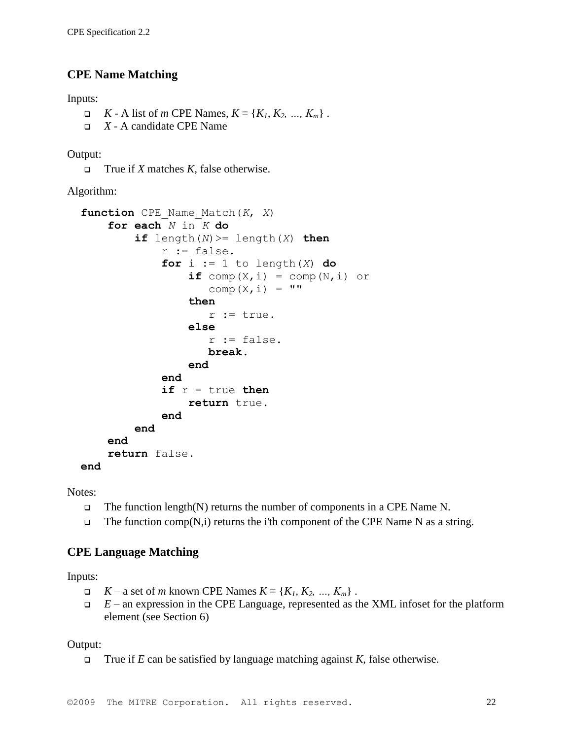### **CPE Name Matching**

Inputs:

- $K A$  list of *m* CPE Names,  $K = \{K_1, K_2, ..., K_m\}$ .
- *X* A candidate CPE Name

Output:

True if *X* matches *K*, false otherwise.

Algorithm:

```
function CPE_Name_Match(K, X)
    for each N in K do
        if length(N) >= length(X) then
             r := false.
             for i := 1 to length (X) do
                 if \text{comp}(X, i) = comp(N, i) or
                    comp(X, i) = "then
                     r := true.
                 else
                     r := false.
                     break.
                 end 
             end
             if r = true thenreturn true.
             end
        end
    end
    return false.
end
```
Notes:

- $\Box$  The function length(N) returns the number of components in a CPE Name N.
- $\Box$  The function comp(N,i) returns the i'th component of the CPE Name N as a string.

### **CPE Language Matching**

Inputs:

- $K a$  set of *m* known CPE Names  $K = \{K_1, K_2, ..., K_m\}$ .
- $E$  an expression in the CPE Language, represented as the XML infoset for the platform element (see Section 6)

Output:

True if  $E$  can be satisfied by language matching against  $K$ , false otherwise.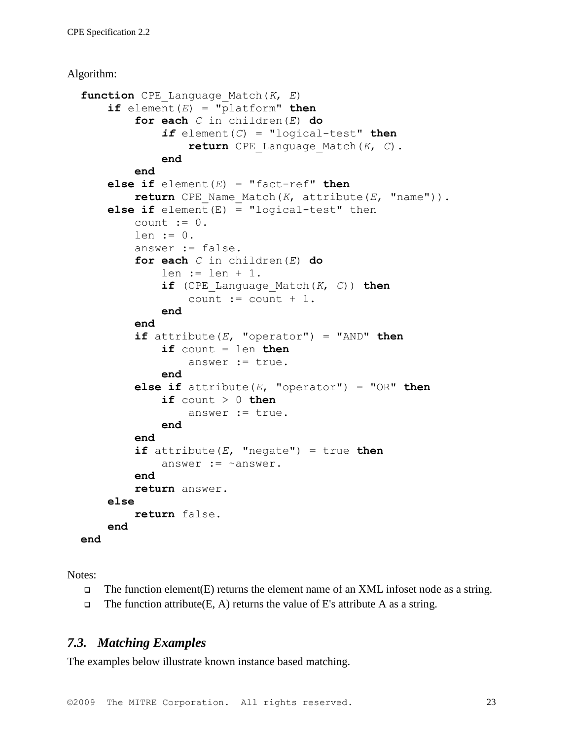Algorithm:

```
function CPE_Language_Match(K, E)
    if element(E) = "platform" then
        for each C in children(E) do
            if element(C) = "logical-test" then
                return CPE_Language_Match(K, C).
            end
        end
    else if element(E) = "fact-ref" then
        return CPE_Name_Match(K, attribute(E, "name")).
    else if element(E) = "logical-test" then
        count := 0.
        len := 0.answer := false.
        for each C in children(E) do
            len := len + 1.
            if (CPE_Language_Match(K, C)) then
                count := count +1.
            end
        end
        if attribute(E, "operator") = "AND" then
            if count = len then
                answer := true.
            end
        else if attribute(E, "operator") = "OR" then
            if count > 0 then
                answer := true.
            end
        end
        if attribute(E, "negate") = true then
            answer := ~answer.
        end
        return answer.
    else
        return false.
    end
end
```
Notes:

- $\Box$  The function element(E) returns the element name of an XML infoset node as a string.
- $\Box$  The function attribute (E, A) returns the value of E's attribute A as a string.

### *7.3. Matching Examples*

The examples below illustrate known instance based matching.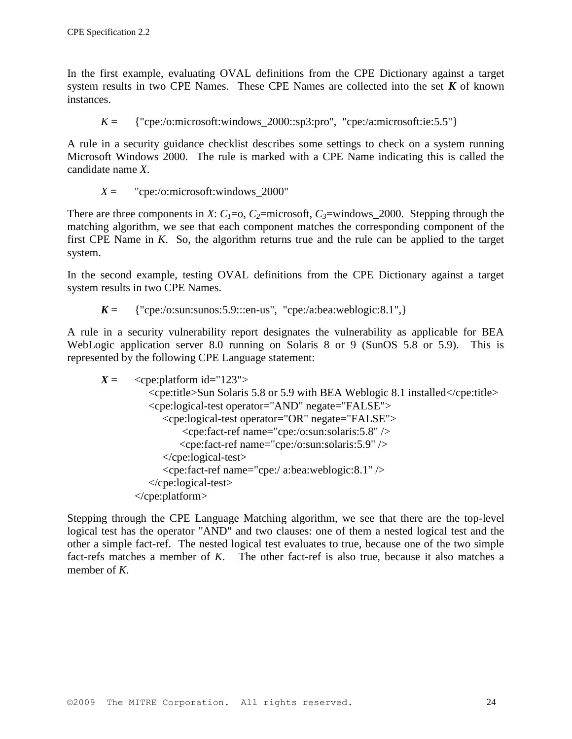In the first example, evaluating OVAL definitions from the CPE Dictionary against a target system results in two CPE Names. These CPE Names are collected into the set *K* of known instances.

 $K = \{$  "cpe:/o:microsoft:windows\_2000::sp3:pro", "cpe:/a:microsoft:ie:5.5"}

A rule in a security guidance checklist describes some settings to check on a system running Microsoft Windows 2000. The rule is marked with a CPE Name indicating this is called the candidate name *X*.

$$
X =
$$
 "cpe:/o:microsoft:windows\_2000"

There are three components in *X*:  $C_1=0$ ,  $C_2=$ microsoft,  $C_3=$ windows\_2000. Stepping through the matching algorithm, we see that each component matches the corresponding component of the first CPE Name in *K*. So, the algorithm returns true and the rule can be applied to the target system.

In the second example, testing OVAL definitions from the CPE Dictionary against a target system results in two CPE Names.

 $K = \{$  "cpe:/o:sun:sunos:5.9:::en-us", "cpe:/a:bea:weblogic:8.1",}

A rule in a security vulnerability report designates the vulnerability as applicable for BEA WebLogic application server 8.0 running on Solaris 8 or 9 (SunOS 5.8 or 5.9). This is represented by the following CPE Language statement:

```
X = \text{cpe:platform id} = "123" <cpe:title>Sun Solaris 5.8 or 5.9 with BEA Weblogic 8.1 installed</cpe:title>
           <cpe:logical-test operator="AND" negate="FALSE">
              <cpe:logical-test operator="OR" negate="FALSE">
                   <cpe:fact-ref name="cpe:/o:sun:solaris:5.8" />
                  <cpe:fact-ref name="cpe:/o:sun:solaris:5.9" />
              </cpe:logical-test>
              <cpe:fact-ref name="cpe:/ a:bea:weblogic:8.1" />
           </cpe:logical-test>
       </cpe:platform>
```
Stepping through the CPE Language Matching algorithm, we see that there are the top-level logical test has the operator "AND" and two clauses: one of them a nested logical test and the other a simple fact-ref. The nested logical test evaluates to true, because one of the two simple fact-refs matches a member of *K*. The other fact-ref is also true, because it also matches a member of *K*.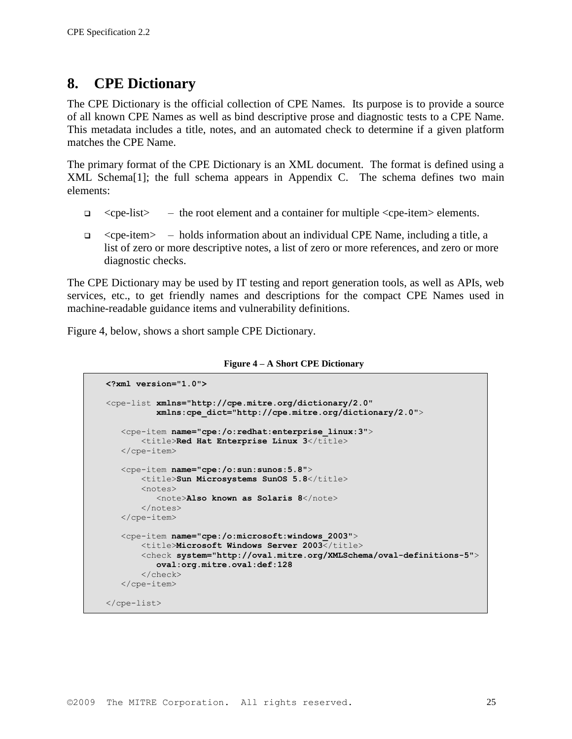# **8. CPE Dictionary**

The CPE Dictionary is the official collection of CPE Names. Its purpose is to provide a source of all known CPE Names as well as bind descriptive prose and diagnostic tests to a CPE Name. This metadata includes a title, notes, and an automated check to determine if a given platform matches the CPE Name.

The primary format of the CPE Dictionary is an XML document. The format is defined using a XML Schem[a\[1\];](#page-26-2) the full schema appears in Appendix C. The schema defines two main elements:

- $\Box$  <cpe-list> the root element and a container for multiple <cpe-item> elements.
- $\epsilon$  cpe-item holds information about an individual CPE Name, including a title, a list of zero or more descriptive notes, a list of zero or more references, and zero or more diagnostic checks.

The CPE Dictionary may be used by IT testing and report generation tools, as well as APIs, web services, etc., to get friendly names and descriptions for the compact CPE Names used in machine-readable guidance items and vulnerability definitions.

Figure 4, below, shows a short sample CPE Dictionary.

| <b>Figure 4 - A Short CPE Dictionary</b> |  |  |  |
|------------------------------------------|--|--|--|
|------------------------------------------|--|--|--|

```
<?xml version="1.0">
<cpe-list xmlns="http://cpe.mitre.org/dictionary/2.0"
           xmlns:cpe_dict="http://cpe.mitre.org/dictionary/2.0">
    <cpe-item name="cpe:/o:redhat:enterprise_linux:3">
       <title>Red Hat Enterprise Linux 3</title>
    </cpe-item>
    <cpe-item name="cpe:/o:sun:sunos:5.8">
       <title>Sun Microsystems SunOS 5.8</title>
        <notes>
           <note>Also known as Solaris 8</note>
        </notes>
    </cpe-item>
    <cpe-item name="cpe:/o:microsoft:windows_2003">
       \langletitle>Microsoft Windows Server 2003\langle/title>
        <check system="http://oval.mitre.org/XMLSchema/oval-definitions-5">
           oval:org.mitre.oval:def:128
        </check>
    </cpe-item>
</cpe-list>
```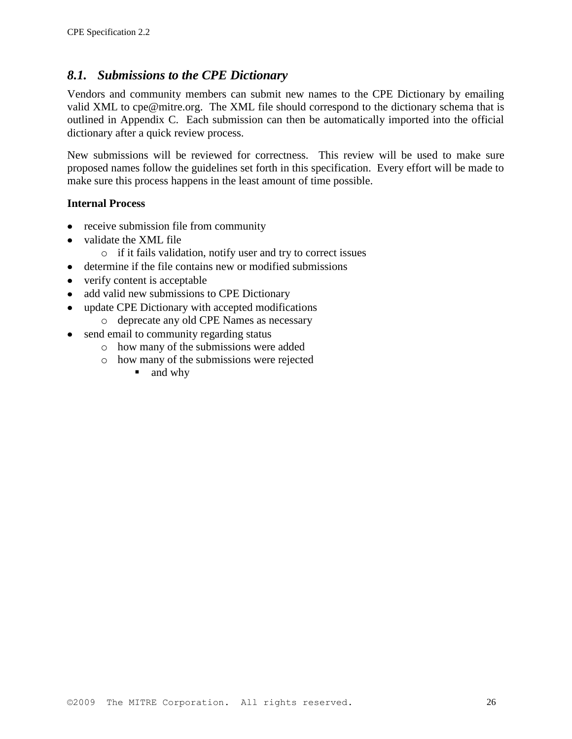### *8.1. Submissions to the CPE Dictionary*

Vendors and community members can submit new names to the CPE Dictionary by emailing valid XML to cpe@mitre.org. The XML file should correspond to the dictionary schema that is outlined in Appendix C. Each submission can then be automatically imported into the official dictionary after a quick review process.

New submissions will be reviewed for correctness. This review will be used to make sure proposed names follow the guidelines set forth in this specification. Every effort will be made to make sure this process happens in the least amount of time possible.

#### **Internal Process**

- receive submission file from community
- validate the XML file  $\bullet$ 
	- o if it fails validation, notify user and try to correct issues
- determine if the file contains new or modified submissions  $\bullet$
- verify content is acceptable
- add valid new submissions to CPE Dictionary
- update CPE Dictionary with accepted modifications
- o deprecate any old CPE Names as necessary
- send email to community regarding status
	- o how many of the submissions were added
	- o how many of the submissions were rejected
		- and why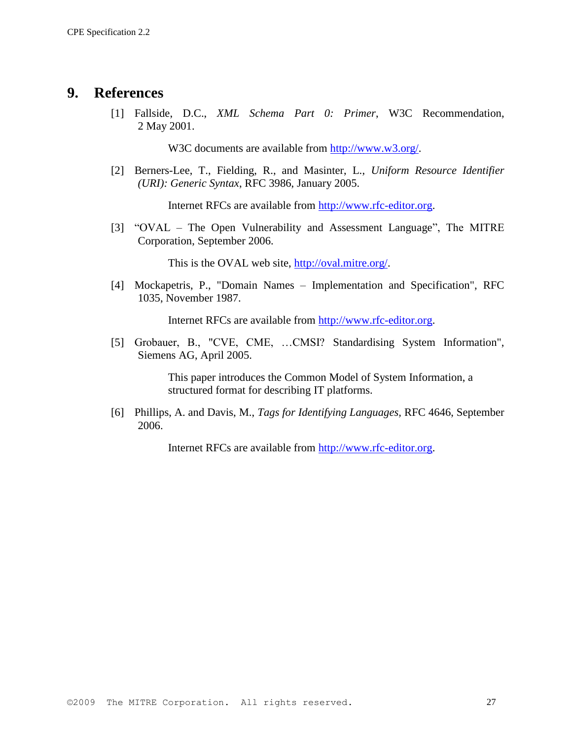### <span id="page-26-2"></span>**9. References**

[1] Fallside, D.C., *XML Schema Part 0: Primer*, W3C Recommendation, 2 May 2001.

W3C documents are available from [http://www.w3.org/.](http://www.w3.org/)

<span id="page-26-0"></span>[2] Berners-Lee, T., Fielding, R., and Masinter, L., *Uniform Resource Identifier (URI): Generic Syntax*, RFC 3986, January 2005.

Internet RFCs are available from [http://www.rfc-editor.org.](http://www.rfc-editor.org/)

<span id="page-26-1"></span>[3] "OVAL – The Open Vulnerability and Assessment Language", The MITRE Corporation, September 2006.

This is the OVAL web site, [http://oval.mitre.org/.](http://oval.mitre.org/)

[4] Mockapetris, P., "Domain Names – Implementation and Specification", RFC 1035, November 1987.

Internet RFCs are available from [http://www.rfc-editor.org.](http://www.rfc-editor.org/)

[5] Grobauer, B., "CVE, CME, …CMSI? Standardising System Information", Siemens AG, April 2005.

> This paper introduces the Common Model of System Information, a structured format for describing IT platforms.

[6] Phillips, A. and Davis, M., *Tags for Identifying Languages,* RFC 4646, September 2006.

Internet RFCs are available from [http://www.rfc-editor.org.](http://www.rfc-editor.org/)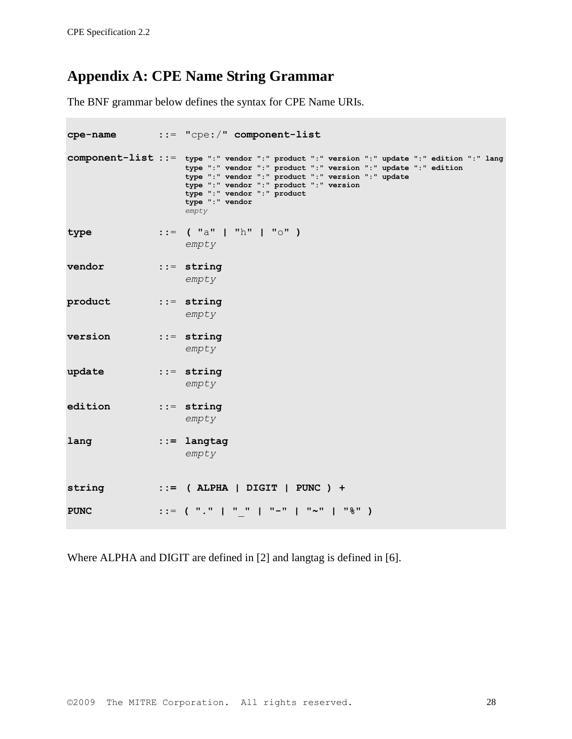# **Appendix A: CPE Name String Grammar**

The BNF grammar below defines the syntax for CPE Name URIs.

| cpe-name    | $\cdot$ := "cpe:/" component-list                                                                                                                                                                                                                                                                                         |
|-------------|---------------------------------------------------------------------------------------------------------------------------------------------------------------------------------------------------------------------------------------------------------------------------------------------------------------------------|
|             | component-list ::= type ":" vendor ":" product ":" version ":" update ":" edition ":" lang<br>type ":" vendor ":" product ":" version ":" update ":" edition<br>type ":" vendor ":" product ":" version ":" update<br>type ":" vendor ":" product ":" version<br>type ":" vendor ":" product<br>type ": " vendor<br>empty |
| type        | $ ::=$ ("a"   "h"   "o" )<br>empty                                                                                                                                                                                                                                                                                        |
| vendor      | $\cdots$ string<br>empty                                                                                                                                                                                                                                                                                                  |
| product     | $\cdots$ string<br>empty                                                                                                                                                                                                                                                                                                  |
| version     | $\cdots$ string<br>empty                                                                                                                                                                                                                                                                                                  |
| update      | $::=$ string<br>empty                                                                                                                                                                                                                                                                                                     |
| edition     | $\cdots$ string<br>empty                                                                                                                                                                                                                                                                                                  |
| lang        | $ ::=$ langtag<br>empty                                                                                                                                                                                                                                                                                                   |
| string      | $::=$ (ALPHA   DIGIT   PUNC ) +                                                                                                                                                                                                                                                                                           |
| <b>PUNC</b> | ::= ( "."   " "   "-"   "~"   "%" )                                                                                                                                                                                                                                                                                       |

Where ALPHA and DIGIT are defined in [2] and langtag is defined in [6].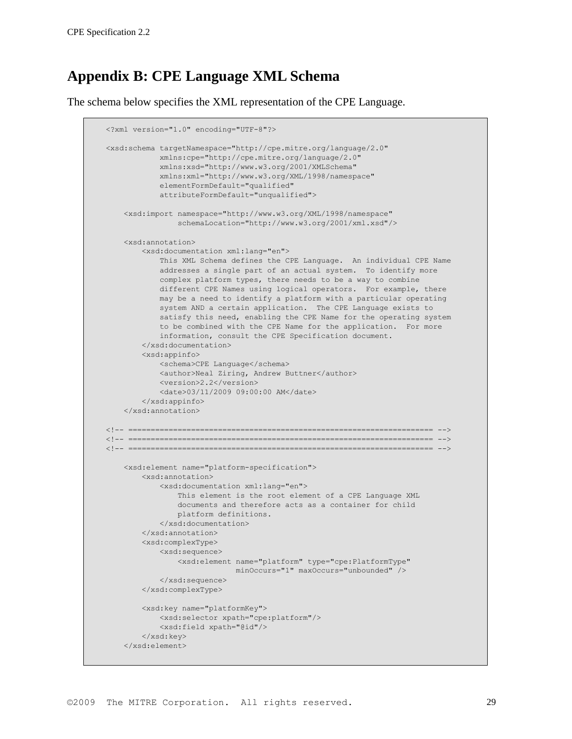# **Appendix B: CPE Language XML Schema**

The schema below specifies the XML representation of the CPE Language.

```
<?xml version="1.0" encoding="UTF-8"?>
<xsd:schema targetNamespace="http://cpe.mitre.org/language/2.0"
             xmlns:cpe="http://cpe.mitre.org/language/2.0"
             xmlns:xsd="http://www.w3.org/2001/XMLSchema"
             xmlns:xml="http://www.w3.org/XML/1998/namespace"
             elementFormDefault="qualified"
             attributeFormDefault="unqualified">
     <xsd:import namespace="http://www.w3.org/XML/1998/namespace"
                 schemaLocation="http://www.w3.org/2001/xml.xsd"/>
     <xsd:annotation>
         <xsd:documentation xml:lang="en">
             This XML Schema defines the CPE Language. An individual CPE Name
             addresses a single part of an actual system. To identify more
             complex platform types, there needs to be a way to combine
            different CPE Names using logical operators. For example, there
            may be a need to identify a platform with a particular operating
             system AND a certain application. The CPE Language exists to
             satisfy this need, enabling the CPE Name for the operating system
             to be combined with the CPE Name for the application. For more
             information, consult the CPE Specification document.
         </xsd:documentation>
         <xsd:appinfo>
            <schema>CPE Language</schema>
             <author>Neal Ziring, Andrew Buttner</author>
             <version>2.2</version>
             <date>03/11/2009 09:00:00 AM</date>
         </xsd:appinfo>
     </xsd:annotation>
<!-- ==================================================================== -->
     <!-- ==================================================================== -->
<!-- ==================================================================== -->
     <xsd:element name="platform-specification">
         <xsd:annotation>
             <xsd:documentation xml:lang="en">
                 This element is the root element of a CPE Language XML
                documents and therefore acts as a container for child
                platform definitions.
             </xsd:documentation>
         </xsd:annotation>
         <xsd:complexType>
             <xsd:sequence>
                 <xsd:element name="platform" type="cpe:PlatformType"
                              minOccurs="1" maxOccurs="unbounded" />
             </xsd:sequence>
         </xsd:complexType>
         <xsd:key name="platformKey">
            <xsd:selector xpath="cpe:platform"/>
             <xsd:field xpath="@id"/>
         </xsd:key>
     </xsd:element>
```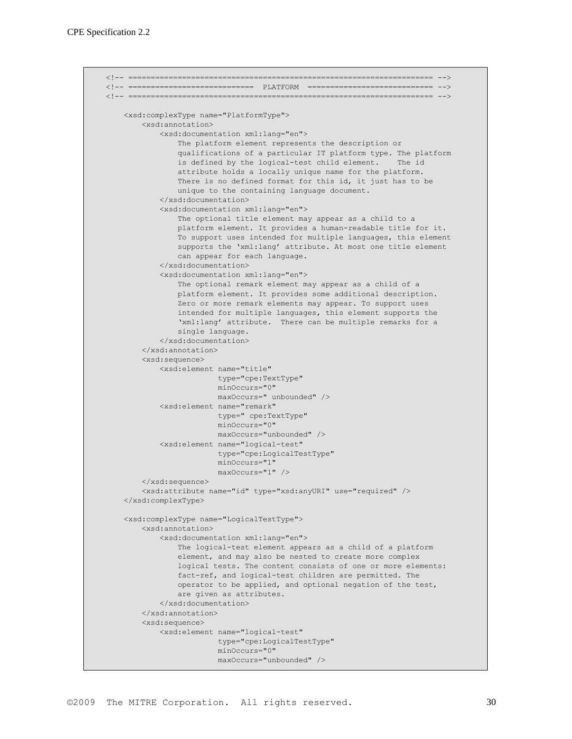```
<!-- ==================================================================== -->
<!-- ============================ PLATFORM ============================ -->
<!-- ==================================================================== -->
     <xsd:complexType name="PlatformType">
         <xsd:annotation>
             <xsd:documentation xml:lang="en">
                 The platform element represents the description or
                 qualifications of a particular IT platform type. The platform
                 is defined by the logical-test child element. The id
                 attribute holds a locally unique name for the platform.
                There is no defined format for this id, it just has to be
                 unique to the containing language document.
             </xsd:documentation>
             <xsd:documentation xml:lang="en">
                The optional title element may appear as a child to a
                 platform element. It provides a human-readable title for it.
                 To support uses intended for multiple languages, this element
                 supports the 'xml:lang' attribute. At most one title element
                 can appear for each language.
             </xsd:documentation>
             <xsd:documentation xml:lang="en">
                 The optional remark element may appear as a child of a
                 platform element. It provides some additional description.
                 Zero or more remark elements may appear. To support uses
                 intended for multiple languages, this element supports the
                 'xml:lang' attribute. There can be multiple remarks for a
                 single language.
             </xsd:documentation>
         </xsd:annotation>
         <xsd:sequence>
             <xsd:element name="title"
                          type="cpe:TextType"
                         minOccurs="0"
                        maxOccurs=" unbounded" />
             <xsd:element name="remark"
                          type=" cpe:TextType"
                         minOccurs="0"
                         maxOccurs="unbounded" />
             <xsd:element name="logical-test"
                          type="cpe:LogicalTestType"
                         minOccurs="1"
                         maxOccurs="1" />
         </xsd:sequence>
         <xsd:attribute name="id" type="xsd:anyURI" use="required" />
     </xsd:complexType>
     <xsd:complexType name="LogicalTestType">
         <xsd:annotation>
             <xsd:documentation xml:lang="en">
                 The logical-test element appears as a child of a platform
                 element, and may also be nested to create more complex
                 logical tests. The content consists of one or more elements:
                 fact-ref, and logical-test children are permitted. The
                 operator to be applied, and optional negation of the test,
                 are given as attributes.
             </xsd:documentation>
         </xsd:annotation>
         <xsd:sequence>
             <xsd:element name="logical-test" 
                          type="cpe:LogicalTestType"
                         minOccurs="0" 
                         maxOccurs="unbounded" />
```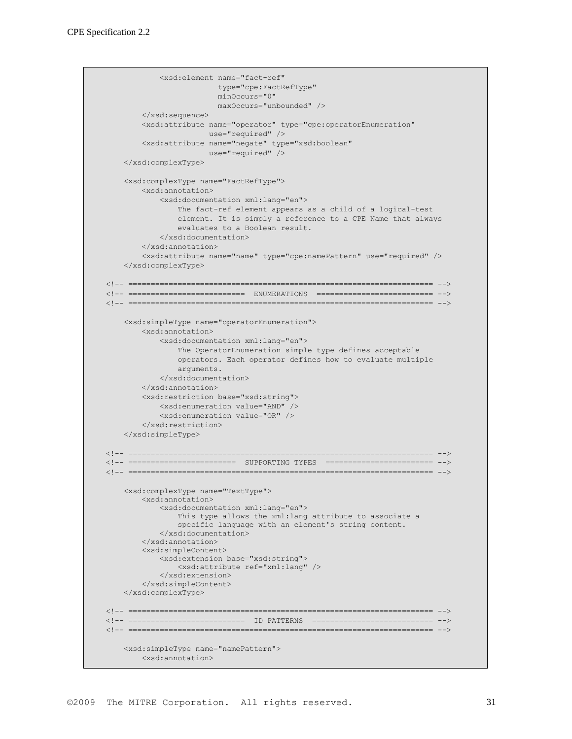```
 <xsd:element name="fact-ref" 
                          type="cpe:FactRefType"
                        minOccurs="0" 
                         maxOccurs="unbounded" />
         </xsd:sequence>
         <xsd:attribute name="operator" type="cpe:operatorEnumeration"
                        use="required" />
         <xsd:attribute name="negate" type="xsd:boolean"
                        use="required" />
     </xsd:complexType>
     <xsd:complexType name="FactRefType">
         <xsd:annotation>
             <xsd:documentation xml:lang="en">
                 The fact-ref element appears as a child of a logical-test
                 element. It is simply a reference to a CPE Name that always
                 evaluates to a Boolean result.
             </xsd:documentation>
         </xsd:annotation>
         <xsd:attribute name="name" type="cpe:namePattern" use="required" />
     </xsd:complexType>
<!-- ==================================================================== -->
<!-- ========================== ENUMERATIONS ========================== -->
<!-- ==================================================================== -->
     <xsd:simpleType name="operatorEnumeration">
         <xsd:annotation>
             <xsd:documentation xml:lang="en">
                 The OperatorEnumeration simple type defines acceptable
                 operators. Each operator defines how to evaluate multiple
                 arguments.
             </xsd:documentation>
         </xsd:annotation>
         <xsd:restriction base="xsd:string">
             <xsd:enumeration value="AND" />
             <xsd:enumeration value="OR" />
         </xsd:restriction>
     </xsd:simpleType>
<!-- ==================================================================== -->
<!-- ======================== SUPPORTING TYPES ======================== -->
<!-- ==================================================================== -->
     <xsd:complexType name="TextType">
         <xsd:annotation>
             <xsd:documentation xml:lang="en">
                 This type allows the xml:lang attribute to associate a
                 specific language with an element's string content.
             </xsd:documentation>
         </xsd:annotation>
         <xsd:simpleContent>
             <xsd:extension base="xsd:string">
                 <xsd:attribute ref="xml:lang" />
             </xsd:extension>
         </xsd:simpleContent>
     </xsd:complexType>
<!-- ==================================================================== -->
<!-- ========================== ID PATTERNS =========================== -->
<!-- ==================================================================== -->
     <xsd:simpleType name="namePattern">
        <xsd:annotation>
```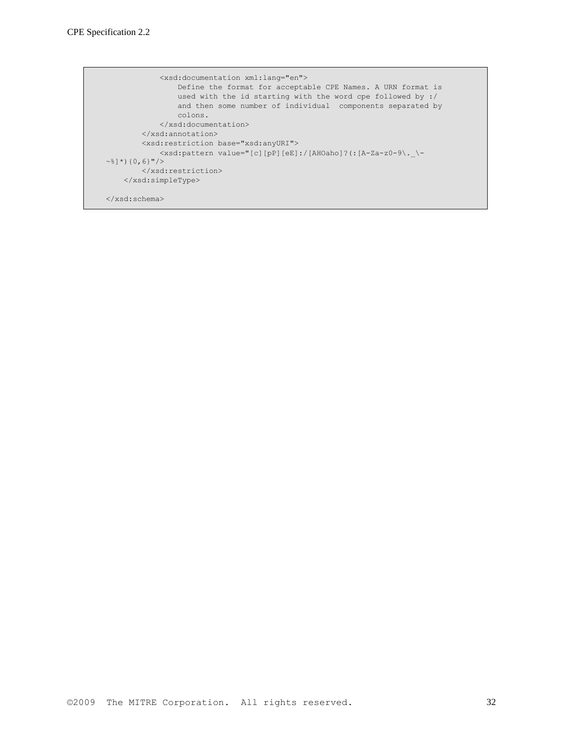```
 <xsd:documentation xml:lang="en">
                 Define the format for acceptable CPE Names. A URN format is
                  used with the id starting with the word cpe followed by :/
                  and then some number of individual components separated by
                  colons.
              </xsd:documentation>
        \langle x\ /xsd: annotation>
         <xsd:restriction base="xsd:anyURI">
             \langle xsd:pattern value="[c][pP][eE]:/[AHOaho]?(:[A-Za-z0-9\angle.]-\sim ^{\circ}] ^{\star}) {0,6}"/>
        \langle xsd:restriction; </xsd:simpleType>
</xsd:schema>
```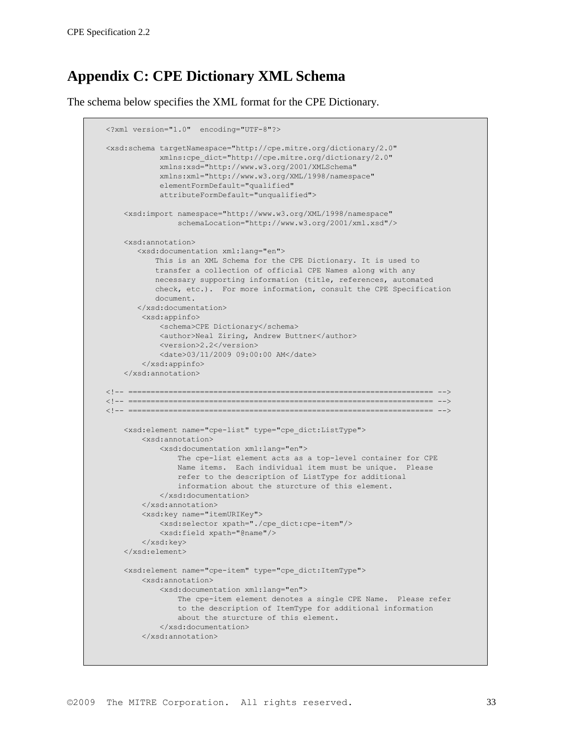# **Appendix C: CPE Dictionary XML Schema**

The schema below specifies the XML format for the CPE Dictionary.

```
<?xml version="1.0" encoding="UTF-8"?>
<xsd:schema targetNamespace="http://cpe.mitre.org/dictionary/2.0"
             xmlns:cpe_dict="http://cpe.mitre.org/dictionary/2.0"
             xmlns:xsd="http://www.w3.org/2001/XMLSchema"
             xmlns:xml="http://www.w3.org/XML/1998/namespace"
             elementFormDefault="qualified"
             attributeFormDefault="unqualified">
     <xsd:import namespace="http://www.w3.org/XML/1998/namespace"
                 schemaLocation="http://www.w3.org/2001/xml.xsd"/>
     <xsd:annotation>
        <xsd:documentation xml:lang="en">
            This is an XML Schema for the CPE Dictionary. It is used to
            transfer a collection of official CPE Names along with any
            necessary supporting information (title, references, automated
           check, etc.). For more information, consult the CPE Specification
           document.
        </xsd:documentation>
         <xsd:appinfo>
            <schema>CPE Dictionary</schema>
             <author>Neal Ziring, Andrew Buttner</author>
             <version>2.2</version>
             <date>03/11/2009 09:00:00 AM</date>
         </xsd:appinfo>
     </xsd:annotation>
<!-- ==================================================================== -->
<!-- ==================================================================== -->
<!-- ==================================================================== -->
     <xsd:element name="cpe-list" type="cpe_dict:ListType">
         <xsd:annotation>
             <xsd:documentation xml:lang="en">
                 The cpe-list element acts as a top-level container for CPE
                 Name items. Each individual item must be unique. Please
                 refer to the description of ListType for additional
                 information about the sturcture of this element.
             </xsd:documentation>
         </xsd:annotation>
         <xsd:key name="itemURIKey">
            <xsd:selector xpath="./cpe_dict:cpe-item"/>
             <xsd:field xpath="@name"/>
         </xsd:key>
     </xsd:element>
     <xsd:element name="cpe-item" type="cpe_dict:ItemType">
         <xsd:annotation>
             <xsd:documentation xml:lang="en">
                The cpe-item element denotes a single CPE Name. Please refer
                 to the description of ItemType for additional information
                 about the sturcture of this element.
             </xsd:documentation>
         </xsd:annotation>
```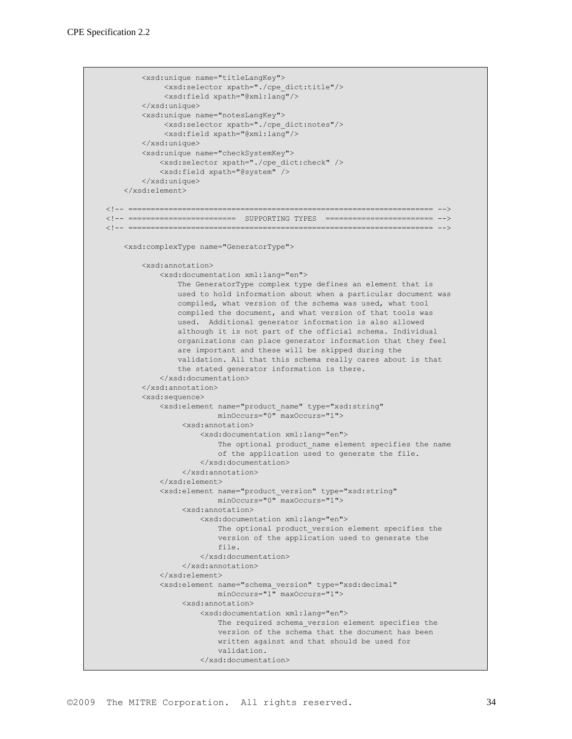```
 <xsd:unique name="titleLangKey">
             <xsd:selector xpath="./cpe_dict:title"/>
              <xsd:field xpath="@xml:lang"/>
         </xsd:unique>
         <xsd:unique name="notesLangKey">
              <xsd:selector xpath="./cpe_dict:notes"/>
              <xsd:field xpath="@xml:lang"/>
         </xsd:unique>
         <xsd:unique name="checkSystemKey">
             <xsd:selector xpath="./cpe_dict:check" />
             <xsd:field xpath="@system" />
         </xsd:unique>
     </xsd:element>
<!-- ==================================================================== -->
<!-- ======================== SUPPORTING TYPES ======================== -->
<!-- ==================================================================== -->
     <xsd:complexType name="GeneratorType">
         <xsd:annotation>
             <xsd:documentation xml:lang="en">
                 The GeneratorType complex type defines an element that is
                 used to hold information about when a particular document was
                 compiled, what version of the schema was used, what tool
                 compiled the document, and what version of that tools was
                 used. Additional generator information is also allowed
                 although it is not part of the official schema. Individual
                 organizations can place generator information that they feel
                 are important and these will be skipped during the
                 validation. All that this schema really cares about is that
                 the stated generator information is there.
             </xsd:documentation>
         </xsd:annotation>
         <xsd:sequence>
             <xsd:element name="product_name" type="xsd:string"
                         minOccurs="0" maxOccurs="1">
                  <xsd:annotation>
                      <xsd:documentation xml:lang="en">
                         The optional product name element specifies the name
                          of the application used to generate the file.
                      </xsd:documentation>
                  </xsd:annotation>
             </xsd:element>
             <xsd:element name="product_version" type="xsd:string"
                          minOccurs="0" maxOccurs="1">
                  <xsd:annotation>
                      <xsd:documentation xml:lang="en">
                         The optional product version element specifies the
                         version of the application used to generate the
                         file.
                      </xsd:documentation>
                  </xsd:annotation>
             </xsd:element>
             <xsd:element name="schema_version" type="xsd:decimal"
                          minOccurs="1" maxOccurs="1">
                  <xsd:annotation>
                      <xsd:documentation xml:lang="en">
                         The required schema version element specifies the
                          version of the schema that the document has been
                          written against and that should be used for
                         validation.
                      </xsd:documentation>
```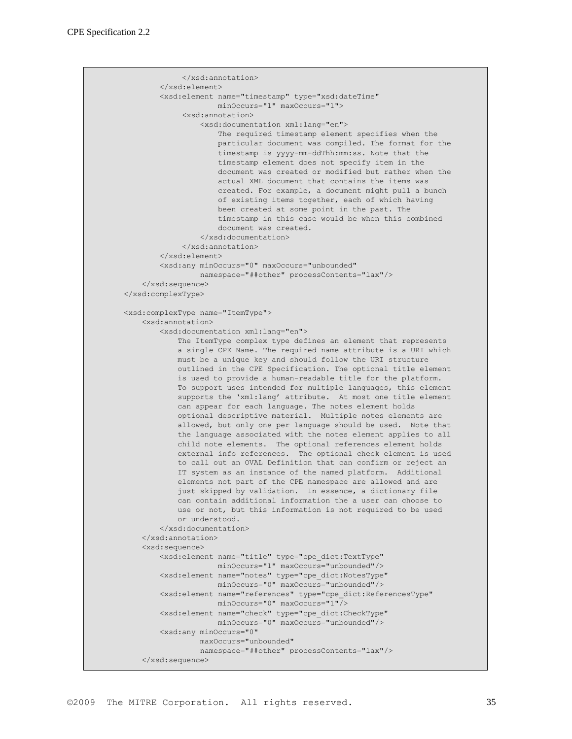```
 </xsd:annotation>
        </xsd:element>
         <xsd:element name="timestamp" type="xsd:dateTime"
                     minOccurs="1" maxOccurs="1">
              <xsd:annotation>
                  <xsd:documentation xml:lang="en">
                      The required timestamp element specifies when the
                      particular document was compiled. The format for the
                     timestamp is yyyy-mm-ddThh:mm:ss. Note that the
                      timestamp element does not specify item in the
                     document was created or modified but rather when the
                     actual XML document that contains the items was
                     created. For example, a document might pull a bunch
                      of existing items together, each of which having
                      been created at some point in the past. The
                     timestamp in this case would be when this combined
                     document was created.
                  </xsd:documentation>
              </xsd:annotation>
         </xsd:element>
         <xsd:any minOccurs="0" maxOccurs="unbounded"
                  namespace="##other" processContents="lax"/>
     </xsd:sequence>
 </xsd:complexType>
 <xsd:complexType name="ItemType">
    <xsd:annotation>
         <xsd:documentation xml:lang="en">
            The ItemType complex type defines an element that represents
             a single CPE Name. The required name attribute is a URI which
            must be a unique key and should follow the URI structure
             outlined in the CPE Specification. The optional title element
            is used to provide a human-readable title for the platform.
            To support uses intended for multiple languages, this element
            supports the 'xml:lang' attribute. At most one title element
            can appear for each language. The notes element holds
            optional descriptive material. Multiple notes elements are
            allowed, but only one per language should be used. Note that
            the language associated with the notes element applies to all
             child note elements. The optional references element holds
             external info references. The optional check element is used
             to call out an OVAL Definition that can confirm or reject an
             IT system as an instance of the named platform. Additional
             elements not part of the CPE namespace are allowed and are
             just skipped by validation. In essence, a dictionary file
            can contain additional information the a user can choose to
            use or not, but this information is not required to be used
             or understood.
         </xsd:documentation>
    </xsd:annotation>
     <xsd:sequence>
         <xsd:element name="title" type="cpe_dict:TextType"
                     minOccurs="1" maxOccurs="unbounded"/>
         <xsd:element name="notes" type="cpe_dict:NotesType"
                     minOccurs="0" maxOccurs="unbounded"/>
         <xsd:element name="references" type="cpe_dict:ReferencesType"
                    minOccurs="0" maxOccurs="1"/>
         <xsd:element name="check" type="cpe_dict:CheckType"
                     minOccurs="0" maxOccurs="unbounded"/>
         <xsd:any minOccurs="0"
                 maxOccurs="unbounded"
                 namespace="##other" processContents="lax"/>
     </xsd:sequence>
```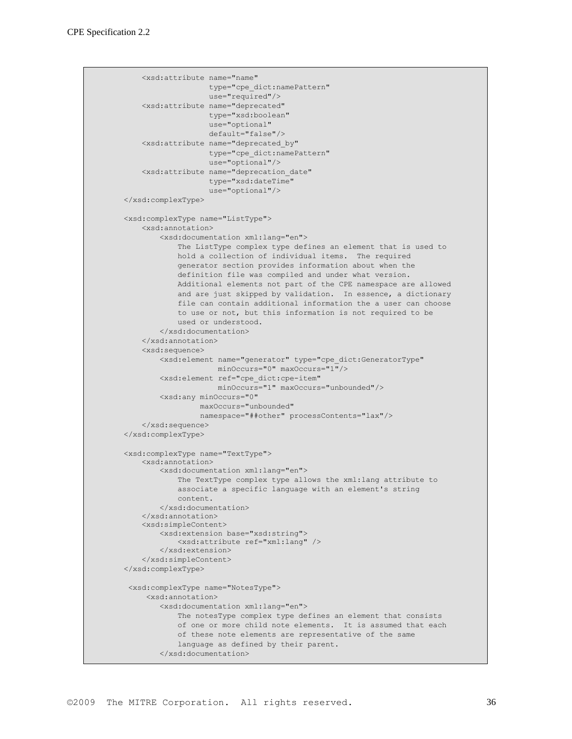```
 <xsd:attribute name="name"
                    type="cpe_dict:namePattern"
                   use="required"/>
     <xsd:attribute name="deprecated"
                    type="xsd:boolean"
                   use="optional"
                   default="false"/>
     <xsd:attribute name="deprecated_by"
                    type="cpe_dict:namePattern"
                   use="optional"/>
     <xsd:attribute name="deprecation_date"
                    type="xsd:dateTime"
                   use="optional"/>
 </xsd:complexType>
 <xsd:complexType name="ListType">
    <xsd:annotation>
         <xsd:documentation xml:lang="en">
             The ListType complex type defines an element that is used to
             hold a collection of individual items. The required
             generator section provides information about when the
             definition file was compiled and under what version.
             Additional elements not part of the CPE namespace are allowed
             and are just skipped by validation. In essence, a dictionary
             file can contain additional information the a user can choose
             to use or not, but this information is not required to be
             used or understood.
         </xsd:documentation>
     </xsd:annotation>
     <xsd:sequence>
         <xsd:element name="generator" type="cpe_dict:GeneratorType"
                      minOccurs="0" maxOccurs="1"/>
         <xsd:element ref="cpe_dict:cpe-item"
                      minOccurs="1" maxOccurs="unbounded"/>
         <xsd:any minOccurs="0"
                  maxOccurs="unbounded"
                  namespace="##other" processContents="lax"/>
     </xsd:sequence>
 </xsd:complexType>
 <xsd:complexType name="TextType">
    <xsd:annotation>
         <xsd:documentation xml:lang="en">
            The TextType complex type allows the xml:lang attribute to
             associate a specific language with an element's string
             content.
         </xsd:documentation>
    </xsd:annotation>
     <xsd:simpleContent>
         <xsd:extension base="xsd:string">
             <xsd:attribute ref="xml:lang" />
         </xsd:extension>
     </xsd:simpleContent>
 </xsd:complexType>
 <xsd:complexType name="NotesType">
      <xsd:annotation>
         <xsd:documentation xml:lang="en">
             The notesType complex type defines an element that consists
             of one or more child note elements. It is assumed that each
             of these note elements are representative of the same
             language as defined by their parent.
         </xsd:documentation>
```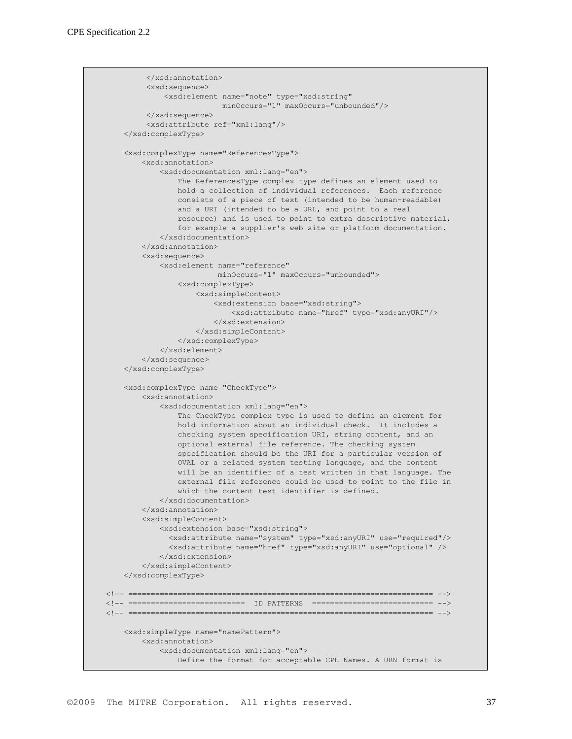```
 </xsd:annotation>
          <xsd:sequence>
              <xsd:element name="note" type="xsd:string"
                           minOccurs="1" maxOccurs="unbounded"/>
          </xsd:sequence>
          <xsd:attribute ref="xml:lang"/>
     </xsd:complexType>
     <xsd:complexType name="ReferencesType">
         <xsd:annotation>
             <xsd:documentation xml:lang="en">
                 The ReferencesType complex type defines an element used to
                 hold a collection of individual references. Each reference
                 consists of a piece of text (intended to be human-readable)
                 and a URI (intended to be a URL, and point to a real
                 resource) and is used to point to extra descriptive material,
                 for example a supplier's web site or platform documentation.
             </xsd:documentation>
         </xsd:annotation>
         <xsd:sequence>
             <xsd:element name="reference"
                          minOccurs="1" maxOccurs="unbounded">
                 <xsd:complexType>
                     <xsd:simpleContent>
                         <xsd:extension base="xsd:string">
                             <xsd:attribute name="href" type="xsd:anyURI"/>
                         </xsd:extension>
                     </xsd:simpleContent>
                 </xsd:complexType>
             </xsd:element>
         </xsd:sequence>
     </xsd:complexType>
     <xsd:complexType name="CheckType">
         <xsd:annotation>
             <xsd:documentation xml:lang="en">
                 The CheckType complex type is used to define an element for
                 hold information about an individual check. It includes a
                 checking system specification URI, string content, and an
                 optional external file reference. The checking system
                 specification should be the URI for a particular version of
                 OVAL or a related system testing language, and the content
                 will be an identifier of a test written in that language. The
                 external file reference could be used to point to the file in
                 which the content test identifier is defined.
             </xsd:documentation>
         </xsd:annotation>
         <xsd:simpleContent>
             <xsd:extension base="xsd:string">
               <xsd:attribute name="system" type="xsd:anyURI" use="required"/>
               <xsd:attribute name="href" type="xsd:anyURI" use="optional" />
             </xsd:extension>
         </xsd:simpleContent>
     </xsd:complexType>
<!-- ==================================================================== -->
<!-- ========================== ID PATTERNS =========================== -->
<!-- ==================================================================== -->
     <xsd:simpleType name="namePattern">
         <xsd:annotation>
            <xsd:documentation xml:lang="en">
                 Define the format for acceptable CPE Names. A URN format is
```